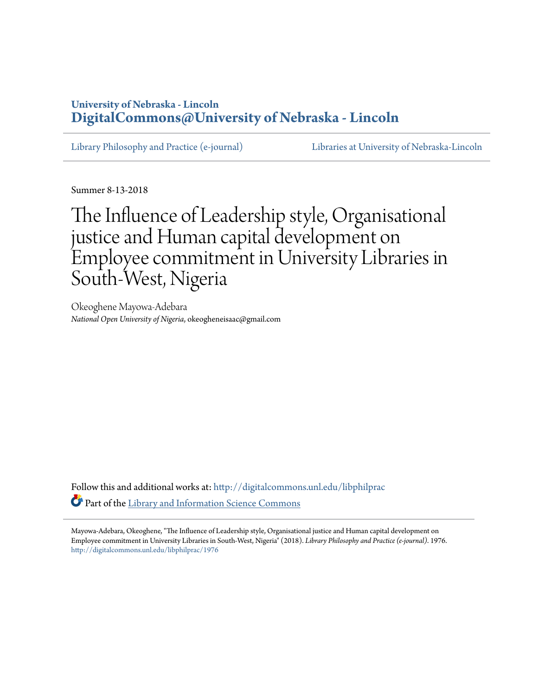## **University of Nebraska - Lincoln [DigitalCommons@University of Nebraska - Lincoln](http://digitalcommons.unl.edu?utm_source=digitalcommons.unl.edu%2Flibphilprac%2F1976&utm_medium=PDF&utm_campaign=PDFCoverPages)**

[Library Philosophy and Practice \(e-journal\)](http://digitalcommons.unl.edu/libphilprac?utm_source=digitalcommons.unl.edu%2Flibphilprac%2F1976&utm_medium=PDF&utm_campaign=PDFCoverPages) [Libraries at University of Nebraska-Lincoln](http://digitalcommons.unl.edu/libraries?utm_source=digitalcommons.unl.edu%2Flibphilprac%2F1976&utm_medium=PDF&utm_campaign=PDFCoverPages)

Summer 8-13-2018

# The Influence of Leadership style, Organisational justice and Human capital development on Employee commitment in University Libraries in South-West, Nigeria

Okeoghene Mayowa-Adebara *National Open University of Nigeria*, okeogheneisaac@gmail.com

Follow this and additional works at: [http://digitalcommons.unl.edu/libphilprac](http://digitalcommons.unl.edu/libphilprac?utm_source=digitalcommons.unl.edu%2Flibphilprac%2F1976&utm_medium=PDF&utm_campaign=PDFCoverPages) Part of the [Library and Information Science Commons](http://network.bepress.com/hgg/discipline/1018?utm_source=digitalcommons.unl.edu%2Flibphilprac%2F1976&utm_medium=PDF&utm_campaign=PDFCoverPages)

Mayowa-Adebara, Okeoghene, "The Influence of Leadership style, Organisational justice and Human capital development on Employee commitment in University Libraries in South-West, Nigeria" (2018). *Library Philosophy and Practice (e-journal)*. 1976. [http://digitalcommons.unl.edu/libphilprac/1976](http://digitalcommons.unl.edu/libphilprac/1976?utm_source=digitalcommons.unl.edu%2Flibphilprac%2F1976&utm_medium=PDF&utm_campaign=PDFCoverPages)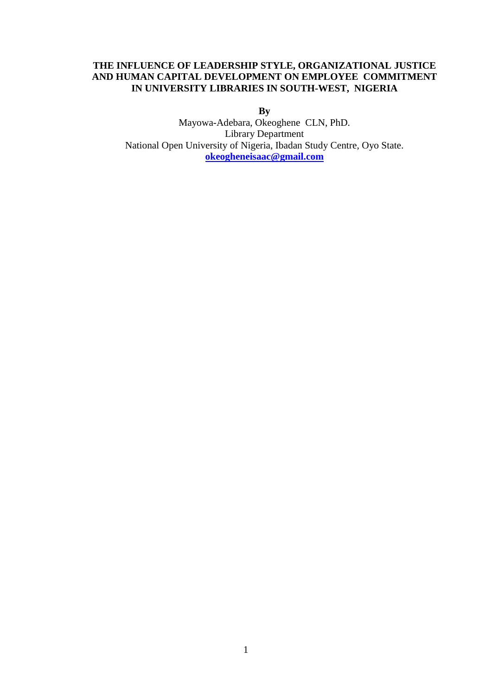## **THE INFLUENCE OF LEADERSHIP STYLE, ORGANIZATIONAL JUSTICE AND HUMAN CAPITAL DEVELOPMENT ON EMPLOYEE COMMITMENT IN UNIVERSITY LIBRARIES IN SOUTH-WEST, NIGERIA**

**By**

Mayowa-Adebara, Okeoghene CLN, PhD. Library Department National Open University of Nigeria, Ibadan Study Centre, Oyo State. **[okeogheneisaac@gmail.com](mailto:okeogheneisaac@gmail.com)**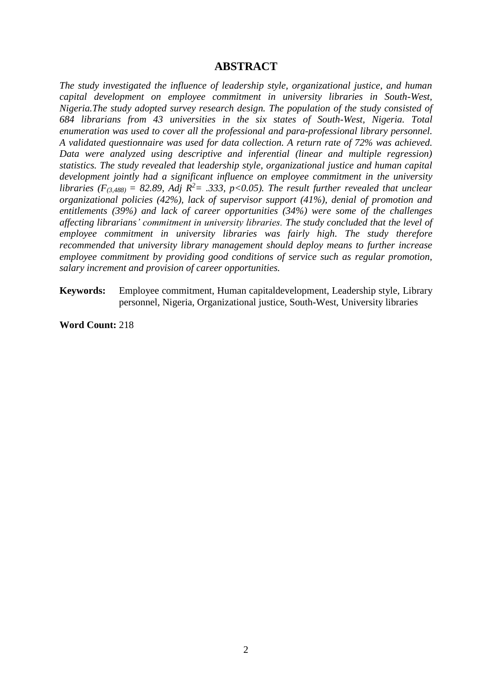## **ABSTRACT**

*The study investigated the influence of leadership style, organizational justice, and human capital development on employee commitment in university libraries in South-West, Nigeria.The study adopted survey research design. The population of the study consisted of 684 librarians from 43 universities in the six states of South-West, Nigeria. Total enumeration was used to cover all the professional and para-professional library personnel. A validated questionnaire was used for data collection. A return rate of 72% was achieved. Data were analyzed using descriptive and inferential (linear and multiple regression) statistics. The study revealed that leadership style, organizational justice and human capital development jointly had a significant influence on employee commitment in the university libraries* ( $F$ <sub>(3,488)</sub> = 82.89, Adj  $R^2$ = .333, p<0.05). The result further revealed that unclear *organizational policies (42%), lack of supervisor support (41%), denial of promotion and entitlements (39%) and lack of career opportunities (34%) were some of the challenges affecting librarians' commitment in university libraries. The study concluded that the level of employee commitment in university libraries was fairly high. The study therefore recommended that university library management should deploy means to further increase employee commitment by providing good conditions of service such as regular promotion, salary increment and provision of career opportunities.* 

**Keywords:** Employee commitment, Human capitaldevelopment, Leadership style, Library personnel, Nigeria, Organizational justice, South-West, University libraries

**Word Count:** 218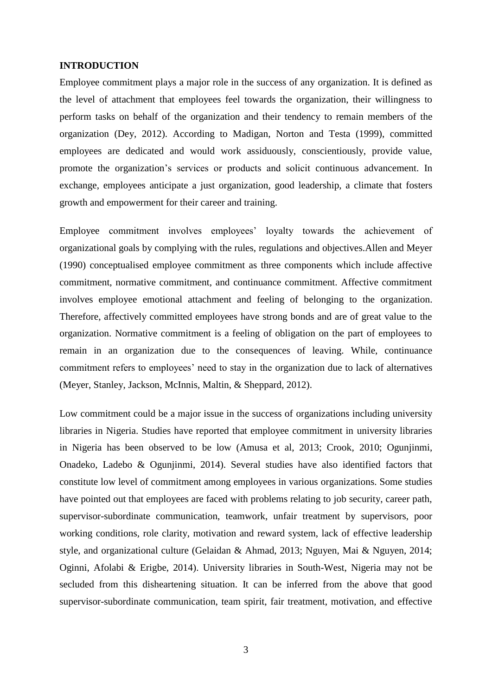### **INTRODUCTION**

Employee commitment plays a major role in the success of any organization. It is defined as the level of attachment that employees feel towards the organization, their willingness to perform tasks on behalf of the organization and their tendency to remain members of the organization (Dey, 2012). According to Madigan, Norton and Testa (1999), committed employees are dedicated and would work assiduously, conscientiously, provide value, promote the organization's services or products and solicit continuous advancement. In exchange, employees anticipate a just organization, good leadership, a climate that fosters growth and empowerment for their career and training.

Employee commitment involves employees' loyalty towards the achievement of organizational goals by complying with the rules, regulations and objectives.Allen and Meyer (1990) conceptualised employee commitment as three components which include affective commitment, normative commitment, and continuance commitment. Affective commitment involves employee emotional attachment and feeling of belonging to the organization. Therefore, affectively committed employees have strong bonds and are of great value to the organization. Normative commitment is a feeling of obligation on the part of employees to remain in an organization due to the consequences of leaving. While, continuance commitment refers to employees' need to stay in the organization due to lack of alternatives (Meyer, Stanley, Jackson, McInnis, Maltin, & Sheppard, 2012).

Low commitment could be a major issue in the success of organizations including university libraries in Nigeria. Studies have reported that employee commitment in university libraries in Nigeria has been observed to be low (Amusa et al, 2013; Crook, 2010; Ogunjinmi, Onadeko, Ladebo & Ogunjinmi, 2014). Several studies have also identified factors that constitute low level of commitment among employees in various organizations. Some studies have pointed out that employees are faced with problems relating to job security, career path, supervisor-subordinate communication, teamwork, unfair treatment by supervisors, poor working conditions, role clarity, motivation and reward system, lack of effective leadership style, and organizational culture (Gelaidan & Ahmad, 2013; Nguyen, Mai & Nguyen, 2014; Oginni, Afolabi & Erigbe, 2014). University libraries in South-West, Nigeria may not be secluded from this disheartening situation. It can be inferred from the above that good supervisor-subordinate communication, team spirit, fair treatment, motivation, and effective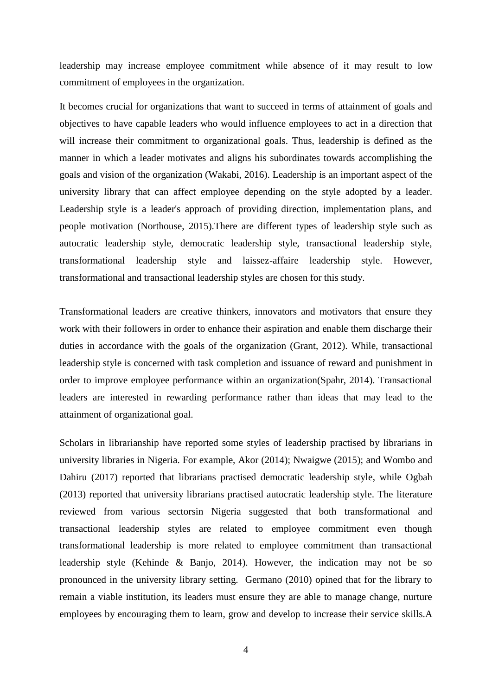leadership may increase employee commitment while absence of it may result to low commitment of employees in the organization.

It becomes crucial for organizations that want to succeed in terms of attainment of goals and objectives to have capable leaders who would influence employees to act in a direction that will increase their commitment to organizational goals. Thus, leadership is defined as the manner in which a leader motivates and aligns his subordinates towards accomplishing the goals and vision of the organization (Wakabi, 2016). Leadership is an important aspect of the university library that can affect employee depending on the style adopted by a leader. Leadership style is a leader's approach of providing direction, implementation plans, and people motivation (Northouse, 2015).There are different types of leadership style such as autocratic leadership style, democratic leadership style, transactional leadership style, transformational leadership style and laissez-affaire leadership style. However, transformational and transactional leadership styles are chosen for this study.

Transformational leaders are creative thinkers, innovators and motivators that ensure they work with their followers in order to enhance their aspiration and enable them discharge their duties in accordance with the goals of the organization (Grant, 2012). While, transactional leadership style is concerned with task completion and issuance of reward and punishment in order to improve employee performance within an organization(Spahr, 2014). Transactional leaders are interested in rewarding performance rather than ideas that may lead to the attainment of organizational goal.

Scholars in librarianship have reported some styles of leadership practised by librarians in university libraries in Nigeria. For example, Akor (2014); Nwaigwe (2015); and Wombo and Dahiru (2017) reported that librarians practised democratic leadership style, while Ogbah (2013) reported that university librarians practised autocratic leadership style. The literature reviewed from various sectorsin Nigeria suggested that both transformational and transactional leadership styles are related to employee commitment even though transformational leadership is more related to employee commitment than transactional leadership style (Kehinde & Banjo, 2014). However, the indication may not be so pronounced in the university library setting. Germano (2010) opined that for the library to remain a viable institution, its leaders must ensure they are able to manage change, nurture employees by encouraging them to learn, grow and develop to increase their service skills.A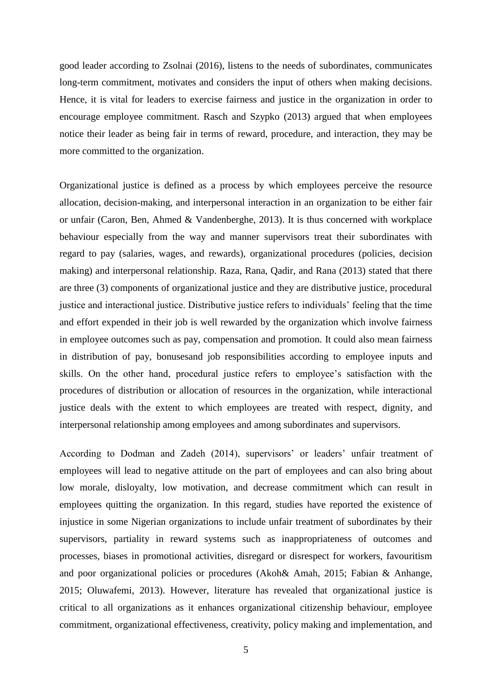good leader according to Zsolnai (2016), listens to the needs of subordinates, communicates long-term commitment, motivates and considers the input of others when making decisions. Hence, it is vital for leaders to exercise fairness and justice in the organization in order to encourage employee commitment. Rasch and Szypko (2013) argued that when employees notice their leader as being fair in terms of reward, procedure, and interaction, they may be more committed to the organization.

Organizational justice is defined as a process by which employees perceive the resource allocation, decision-making, and interpersonal interaction in an organization to be either fair or unfair (Caron, Ben, Ahmed & Vandenberghe, 2013). It is thus concerned with workplace behaviour especially from the way and manner supervisors treat their subordinates with regard to pay (salaries, wages, and rewards), organizational procedures (policies, decision making) and interpersonal relationship. Raza, Rana, Qadir, and Rana (2013) stated that there are three (3) components of organizational justice and they are distributive justice, procedural justice and interactional justice. Distributive justice refers to individuals' feeling that the time and effort expended in their job is well rewarded by the organization which involve fairness in employee outcomes such as pay, compensation and promotion. It could also mean fairness in distribution of pay, bonusesand job responsibilities according to employee inputs and skills. On the other hand, procedural justice refers to employee's satisfaction with the procedures of distribution or allocation of resources in the organization, while interactional justice deals with the extent to which employees are treated with respect, dignity, and interpersonal relationship among employees and among subordinates and supervisors.

According to Dodman and Zadeh (2014), supervisors' or leaders' unfair treatment of employees will lead to negative attitude on the part of employees and can also bring about low morale, disloyalty, low motivation, and decrease commitment which can result in employees quitting the organization. In this regard, studies have reported the existence of injustice in some Nigerian organizations to include unfair treatment of subordinates by their supervisors, partiality in reward systems such as inappropriateness of outcomes and processes, biases in promotional activities, disregard or disrespect for workers, favouritism and poor organizational policies or procedures (Akoh& Amah, 2015; Fabian & Anhange, 2015; Oluwafemi, 2013). However, literature has revealed that organizational justice is critical to all organizations as it enhances organizational citizenship behaviour, employee commitment, organizational effectiveness, creativity, policy making and implementation, and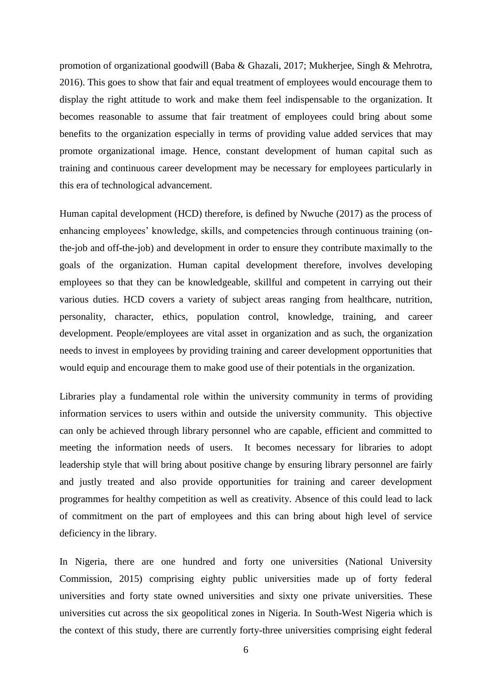promotion of organizational goodwill (Baba & Ghazali, 2017; Mukherjee, Singh & Mehrotra, 2016). This goes to show that fair and equal treatment of employees would encourage them to display the right attitude to work and make them feel indispensable to the organization. It becomes reasonable to assume that fair treatment of employees could bring about some benefits to the organization especially in terms of providing value added services that may promote organizational image. Hence, constant development of human capital such as training and continuous career development may be necessary for employees particularly in this era of technological advancement.

Human capital development (HCD) therefore, is defined by Nwuche (2017) as the process of enhancing employees' knowledge, skills, and competencies through continuous training (onthe-job and off-the-job) and development in order to ensure they contribute maximally to the goals of the organization. Human capital development therefore, involves developing employees so that they can be knowledgeable, skillful and competent in carrying out their various duties. HCD covers a variety of subject areas ranging from healthcare, nutrition, personality, character, ethics, population control, knowledge, training, and career development. People/employees are vital asset in organization and as such, the organization needs to invest in employees by providing training and career development opportunities that would equip and encourage them to make good use of their potentials in the organization.

Libraries play a fundamental role within the university community in terms of providing information services to users within and outside the university community. This objective can only be achieved through library personnel who are capable, efficient and committed to meeting the information needs of users. It becomes necessary for libraries to adopt leadership style that will bring about positive change by ensuring library personnel are fairly and justly treated and also provide opportunities for training and career development programmes for healthy competition as well as creativity. Absence of this could lead to lack of commitment on the part of employees and this can bring about high level of service deficiency in the library.

In Nigeria, there are one hundred and forty one universities (National University Commission, 2015) comprising eighty public universities made up of forty federal universities and forty state owned universities and sixty one private universities. These universities cut across the six geopolitical zones in Nigeria. In South-West Nigeria which is the context of this study, there are currently forty-three universities comprising eight federal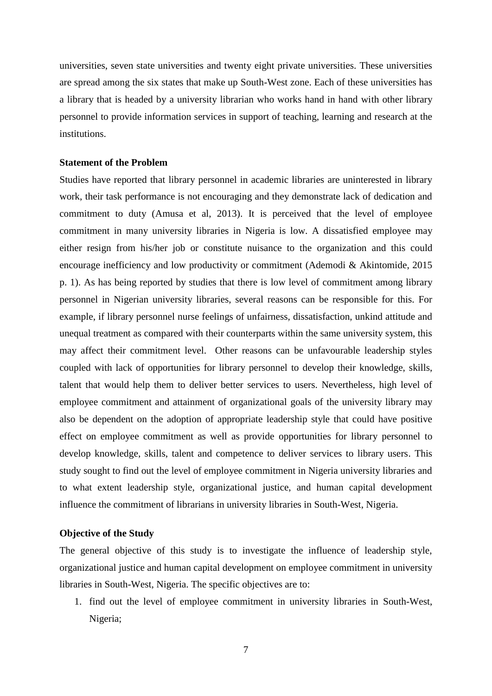universities, seven state universities and twenty eight private universities. These universities are spread among the six states that make up South-West zone. Each of these universities has a library that is headed by a university librarian who works hand in hand with other library personnel to provide information services in support of teaching, learning and research at the institutions.

## **Statement of the Problem**

Studies have reported that library personnel in academic libraries are uninterested in library work, their task performance is not encouraging and they demonstrate lack of dedication and commitment to duty (Amusa et al, 2013). It is perceived that the level of employee commitment in many university libraries in Nigeria is low. A dissatisfied employee may either resign from his/her job or constitute nuisance to the organization and this could encourage inefficiency and low productivity or commitment (Ademodi & Akintomide, 2015 p. 1). As has being reported by studies that there is low level of commitment among library personnel in Nigerian university libraries, several reasons can be responsible for this. For example, if library personnel nurse feelings of unfairness, dissatisfaction, unkind attitude and unequal treatment as compared with their counterparts within the same university system, this may affect their commitment level. Other reasons can be unfavourable leadership styles coupled with lack of opportunities for library personnel to develop their knowledge, skills, talent that would help them to deliver better services to users. Nevertheless, high level of employee commitment and attainment of organizational goals of the university library may also be dependent on the adoption of appropriate leadership style that could have positive effect on employee commitment as well as provide opportunities for library personnel to develop knowledge, skills, talent and competence to deliver services to library users. This study sought to find out the level of employee commitment in Nigeria university libraries and to what extent leadership style, organizational justice, and human capital development influence the commitment of librarians in university libraries in South-West, Nigeria.

## **Objective of the Study**

The general objective of this study is to investigate the influence of leadership style, organizational justice and human capital development on employee commitment in university libraries in South-West, Nigeria. The specific objectives are to:

1. find out the level of employee commitment in university libraries in South-West, Nigeria;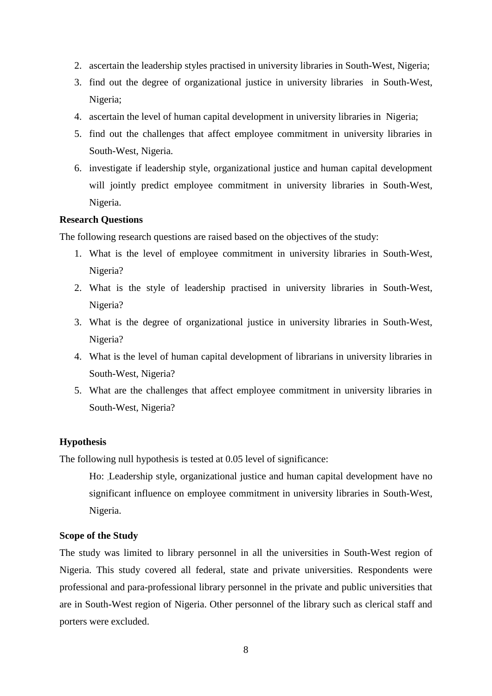- 2. ascertain the leadership styles practised in university libraries in South-West, Nigeria;
- 3. find out the degree of organizational justice in university libraries in South-West, Nigeria;
- 4. ascertain the level of human capital development in university libraries in Nigeria;
- 5. find out the challenges that affect employee commitment in university libraries in South-West, Nigeria.
- 6. investigate if leadership style, organizational justice and human capital development will jointly predict employee commitment in university libraries in South-West, Nigeria.

## **Research Questions**

The following research questions are raised based on the objectives of the study:

- 1. What is the level of employee commitment in university libraries in South-West, Nigeria?
- 2. What is the style of leadership practised in university libraries in South-West, Nigeria?
- 3. What is the degree of organizational justice in university libraries in South-West, Nigeria?
- 4. What is the level of human capital development of librarians in university libraries in South-West, Nigeria?
- 5. What are the challenges that affect employee commitment in university libraries in South-West, Nigeria?

## **Hypothesis**

The following null hypothesis is tested at 0.05 level of significance:

Ho: .Leadership style, organizational justice and human capital development have no significant influence on employee commitment in university libraries in South-West, Nigeria.

#### **Scope of the Study**

The study was limited to library personnel in all the universities in South-West region of Nigeria. This study covered all federal, state and private universities. Respondents were professional and para-professional library personnel in the private and public universities that are in South-West region of Nigeria. Other personnel of the library such as clerical staff and porters were excluded.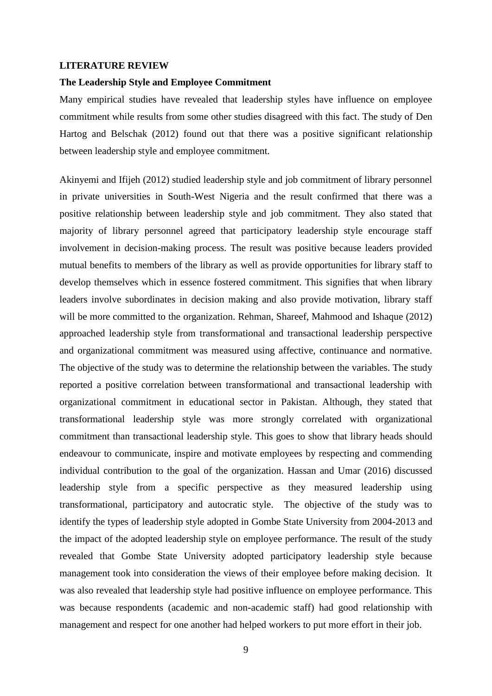#### **LITERATURE REVIEW**

## **The Leadership Style and Employee Commitment**

Many empirical studies have revealed that leadership styles have influence on employee commitment while results from some other studies disagreed with this fact. The study of Den Hartog and Belschak (2012) found out that there was a positive significant relationship between leadership style and employee commitment.

Akinyemi and Ifijeh (2012) studied leadership style and job commitment of library personnel in private universities in South-West Nigeria and the result confirmed that there was a positive relationship between leadership style and job commitment. They also stated that majority of library personnel agreed that participatory leadership style encourage staff involvement in decision-making process. The result was positive because leaders provided mutual benefits to members of the library as well as provide opportunities for library staff to develop themselves which in essence fostered commitment. This signifies that when library leaders involve subordinates in decision making and also provide motivation, library staff will be more committed to the organization. Rehman, Shareef, Mahmood and Ishaque (2012) approached leadership style from transformational and transactional leadership perspective and organizational commitment was measured using affective, continuance and normative. The objective of the study was to determine the relationship between the variables. The study reported a positive correlation between transformational and transactional leadership with organizational commitment in educational sector in Pakistan. Although, they stated that transformational leadership style was more strongly correlated with organizational commitment than transactional leadership style. This goes to show that library heads should endeavour to communicate, inspire and motivate employees by respecting and commending individual contribution to the goal of the organization. Hassan and Umar (2016) discussed leadership style from a specific perspective as they measured leadership using transformational, participatory and autocratic style. The objective of the study was to identify the types of leadership style adopted in Gombe State University from 2004-2013 and the impact of the adopted leadership style on employee performance. The result of the study revealed that Gombe State University adopted participatory leadership style because management took into consideration the views of their employee before making decision. It was also revealed that leadership style had positive influence on employee performance. This was because respondents (academic and non-academic staff) had good relationship with management and respect for one another had helped workers to put more effort in their job.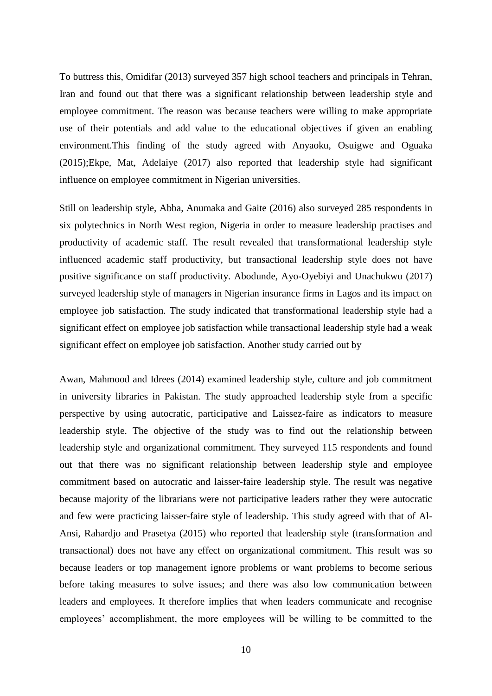To buttress this, Omidifar (2013) surveyed 357 high school teachers and principals in Tehran, Iran and found out that there was a significant relationship between leadership style and employee commitment. The reason was because teachers were willing to make appropriate use of their potentials and add value to the educational objectives if given an enabling environment.This finding of the study agreed with Anyaoku, Osuigwe and Oguaka (2015);Ekpe, Mat, Adelaiye (2017) also reported that leadership style had significant influence on employee commitment in Nigerian universities.

Still on leadership style, Abba, Anumaka and Gaite (2016) also surveyed 285 respondents in six polytechnics in North West region, Nigeria in order to measure leadership practises and productivity of academic staff. The result revealed that transformational leadership style influenced academic staff productivity, but transactional leadership style does not have positive significance on staff productivity. Abodunde, Ayo-Oyebiyi and Unachukwu (2017) surveyed leadership style of managers in Nigerian insurance firms in Lagos and its impact on employee job satisfaction. The study indicated that transformational leadership style had a significant effect on employee job satisfaction while transactional leadership style had a weak significant effect on employee job satisfaction. Another study carried out by

Awan, Mahmood and Idrees (2014) examined leadership style, culture and job commitment in university libraries in Pakistan. The study approached leadership style from a specific perspective by using autocratic, participative and Laissez-faire as indicators to measure leadership style. The objective of the study was to find out the relationship between leadership style and organizational commitment. They surveyed 115 respondents and found out that there was no significant relationship between leadership style and employee commitment based on autocratic and laisser-faire leadership style. The result was negative because majority of the librarians were not participative leaders rather they were autocratic and few were practicing laisser-faire style of leadership. This study agreed with that of Al-Ansi, Rahardjo and Prasetya (2015) who reported that leadership style (transformation and transactional) does not have any effect on organizational commitment. This result was so because leaders or top management ignore problems or want problems to become serious before taking measures to solve issues; and there was also low communication between leaders and employees. It therefore implies that when leaders communicate and recognise employees' accomplishment, the more employees will be willing to be committed to the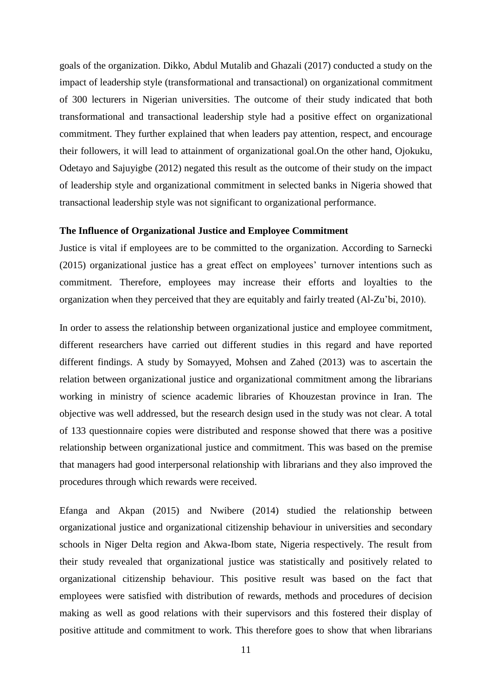goals of the organization. Dikko, Abdul Mutalib and Ghazali (2017) conducted a study on the impact of leadership style (transformational and transactional) on organizational commitment of 300 lecturers in Nigerian universities. The outcome of their study indicated that both transformational and transactional leadership style had a positive effect on organizational commitment. They further explained that when leaders pay attention, respect, and encourage their followers, it will lead to attainment of organizational goal.On the other hand, Ojokuku, Odetayo and Sajuyigbe (2012) negated this result as the outcome of their study on the impact of leadership style and organizational commitment in selected banks in Nigeria showed that transactional leadership style was not significant to organizational performance.

## **The Influence of Organizational Justice and Employee Commitment**

Justice is vital if employees are to be committed to the organization. According to Sarnecki (2015) organizational justice has a great effect on employees' turnover intentions such as commitment. Therefore, employees may increase their efforts and loyalties to the organization when they perceived that they are equitably and fairly treated (Al-Zu'bi, 2010).

In order to assess the relationship between organizational justice and employee commitment, different researchers have carried out different studies in this regard and have reported different findings. A study by Somayyed, Mohsen and Zahed (2013) was to ascertain the relation between organizational justice and organizational commitment among the librarians working in ministry of science academic libraries of Khouzestan province in Iran. The objective was well addressed, but the research design used in the study was not clear. A total of 133 questionnaire copies were distributed and response showed that there was a positive relationship between organizational justice and commitment. This was based on the premise that managers had good interpersonal relationship with librarians and they also improved the procedures through which rewards were received.

Efanga and Akpan (2015) and Nwibere (2014) studied the relationship between organizational justice and organizational citizenship behaviour in universities and secondary schools in Niger Delta region and Akwa-Ibom state, Nigeria respectively. The result from their study revealed that organizational justice was statistically and positively related to organizational citizenship behaviour. This positive result was based on the fact that employees were satisfied with distribution of rewards, methods and procedures of decision making as well as good relations with their supervisors and this fostered their display of positive attitude and commitment to work. This therefore goes to show that when librarians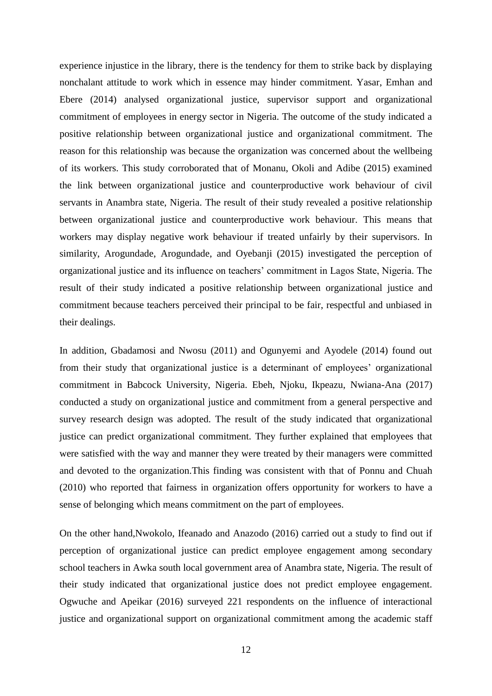experience injustice in the library, there is the tendency for them to strike back by displaying nonchalant attitude to work which in essence may hinder commitment. Yasar, Emhan and Ebere (2014) analysed organizational justice, supervisor support and organizational commitment of employees in energy sector in Nigeria. The outcome of the study indicated a positive relationship between organizational justice and organizational commitment. The reason for this relationship was because the organization was concerned about the wellbeing of its workers. This study corroborated that of Monanu, Okoli and Adibe (2015) examined the link between organizational justice and counterproductive work behaviour of civil servants in Anambra state, Nigeria. The result of their study revealed a positive relationship between organizational justice and counterproductive work behaviour. This means that workers may display negative work behaviour if treated unfairly by their supervisors. In similarity, Arogundade, Arogundade, and Oyebanji (2015) investigated the perception of organizational justice and its influence on teachers' commitment in Lagos State, Nigeria. The result of their study indicated a positive relationship between organizational justice and commitment because teachers perceived their principal to be fair, respectful and unbiased in their dealings.

In addition, Gbadamosi and Nwosu (2011) and Ogunyemi and Ayodele (2014) found out from their study that organizational justice is a determinant of employees' organizational commitment in Babcock University, Nigeria. Ebeh, Njoku, Ikpeazu, Nwiana-Ana (2017) conducted a study on organizational justice and commitment from a general perspective and survey research design was adopted. The result of the study indicated that organizational justice can predict organizational commitment. They further explained that employees that were satisfied with the way and manner they were treated by their managers were committed and devoted to the organization.This finding was consistent with that of Ponnu and Chuah (2010) who reported that fairness in organization offers opportunity for workers to have a sense of belonging which means commitment on the part of employees.

On the other hand,Nwokolo, Ifeanado and Anazodo (2016) carried out a study to find out if perception of organizational justice can predict employee engagement among secondary school teachers in Awka south local government area of Anambra state, Nigeria. The result of their study indicated that organizational justice does not predict employee engagement. Ogwuche and Apeikar (2016) surveyed 221 respondents on the influence of interactional justice and organizational support on organizational commitment among the academic staff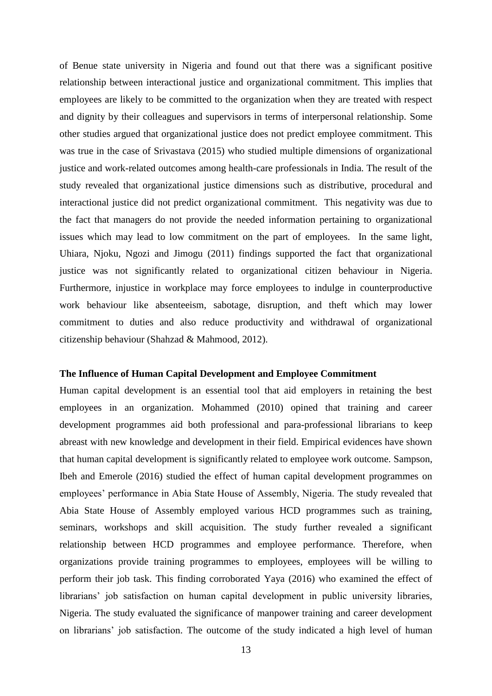of Benue state university in Nigeria and found out that there was a significant positive relationship between interactional justice and organizational commitment. This implies that employees are likely to be committed to the organization when they are treated with respect and dignity by their colleagues and supervisors in terms of interpersonal relationship. Some other studies argued that organizational justice does not predict employee commitment. This was true in the case of Srivastava (2015) who studied multiple dimensions of organizational justice and work-related outcomes among health-care professionals in India. The result of the study revealed that organizational justice dimensions such as distributive, procedural and interactional justice did not predict organizational commitment. This negativity was due to the fact that managers do not provide the needed information pertaining to organizational issues which may lead to low commitment on the part of employees. In the same light, Uhiara, Njoku, Ngozi and Jimogu (2011) findings supported the fact that organizational justice was not significantly related to organizational citizen behaviour in Nigeria. Furthermore, injustice in workplace may force employees to indulge in counterproductive work behaviour like absenteeism, sabotage, disruption, and theft which may lower commitment to duties and also reduce productivity and withdrawal of organizational citizenship behaviour (Shahzad & Mahmood, 2012).

## **The Influence of Human Capital Development and Employee Commitment**

Human capital development is an essential tool that aid employers in retaining the best employees in an organization. Mohammed (2010) opined that training and career development programmes aid both professional and para-professional librarians to keep abreast with new knowledge and development in their field. Empirical evidences have shown that human capital development is significantly related to employee work outcome. Sampson, Ibeh and Emerole (2016) studied the effect of human capital development programmes on employees' performance in Abia State House of Assembly, Nigeria. The study revealed that Abia State House of Assembly employed various HCD programmes such as training, seminars, workshops and skill acquisition. The study further revealed a significant relationship between HCD programmes and employee performance. Therefore, when organizations provide training programmes to employees, employees will be willing to perform their job task. This finding corroborated Yaya (2016) who examined the effect of librarians' job satisfaction on human capital development in public university libraries, Nigeria. The study evaluated the significance of manpower training and career development on librarians' job satisfaction. The outcome of the study indicated a high level of human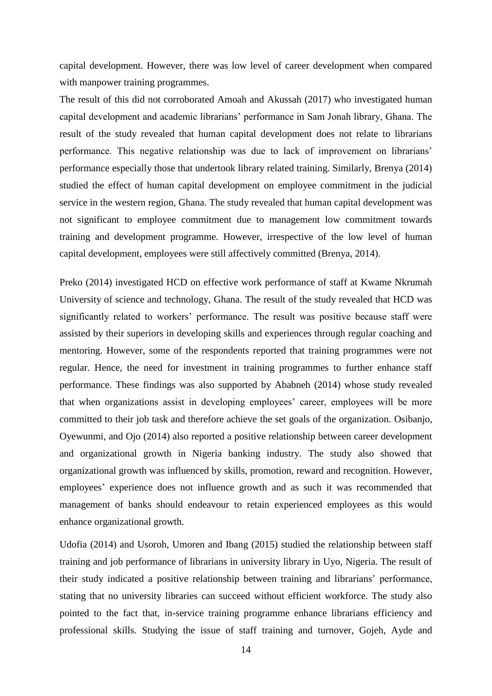capital development. However, there was low level of career development when compared with manpower training programmes.

The result of this did not corroborated Amoah and Akussah (2017) who investigated human capital development and academic librarians' performance in Sam Jonah library, Ghana. The result of the study revealed that human capital development does not relate to librarians performance. This negative relationship was due to lack of improvement on librarians' performance especially those that undertook library related training. Similarly, Brenya (2014) studied the effect of human capital development on employee commitment in the judicial service in the western region, Ghana. The study revealed that human capital development was not significant to employee commitment due to management low commitment towards training and development programme. However, irrespective of the low level of human capital development, employees were still affectively committed (Brenya, 2014).

Preko (2014) investigated HCD on effective work performance of staff at Kwame Nkrumah University of science and technology, Ghana. The result of the study revealed that HCD was significantly related to workers' performance. The result was positive because staff were assisted by their superiors in developing skills and experiences through regular coaching and mentoring. However, some of the respondents reported that training programmes were not regular. Hence, the need for investment in training programmes to further enhance staff performance. These findings was also supported by Ababneh (2014) whose study revealed that when organizations assist in developing employees' career, employees will be more committed to their job task and therefore achieve the set goals of the organization. Osibanjo, Oyewunmi, and Ojo (2014) also reported a positive relationship between career development and organizational growth in Nigeria banking industry. The study also showed that organizational growth was influenced by skills, promotion, reward and recognition. However, employees' experience does not influence growth and as such it was recommended that management of banks should endeavour to retain experienced employees as this would enhance organizational growth.

Udofia (2014) and Usoroh, Umoren and Ibang (2015) studied the relationship between staff training and job performance of librarians in university library in Uyo, Nigeria. The result of their study indicated a positive relationship between training and librarians' performance, stating that no university libraries can succeed without efficient workforce. The study also pointed to the fact that, in-service training programme enhance librarians efficiency and professional skills. Studying the issue of staff training and turnover, Gojeh, Ayde and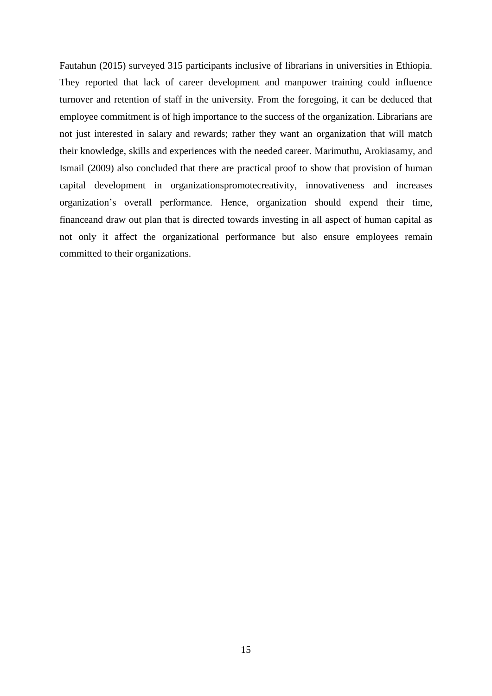Fautahun (2015) surveyed 315 participants inclusive of librarians in universities in Ethiopia. They reported that lack of career development and manpower training could influence turnover and retention of staff in the university. From the foregoing, it can be deduced that employee commitment is of high importance to the success of the organization. Librarians are not just interested in salary and rewards; rather they want an organization that will match their knowledge, skills and experiences with the needed career. Marimuthu, Arokiasamy, and Ismail (2009) also concluded that there are practical proof to show that provision of human capital development in organizationspromotecreativity, innovativeness and increases organization's overall performance. Hence, organization should expend their time, financeand draw out plan that is directed towards investing in all aspect of human capital as not only it affect the organizational performance but also ensure employees remain committed to their organizations.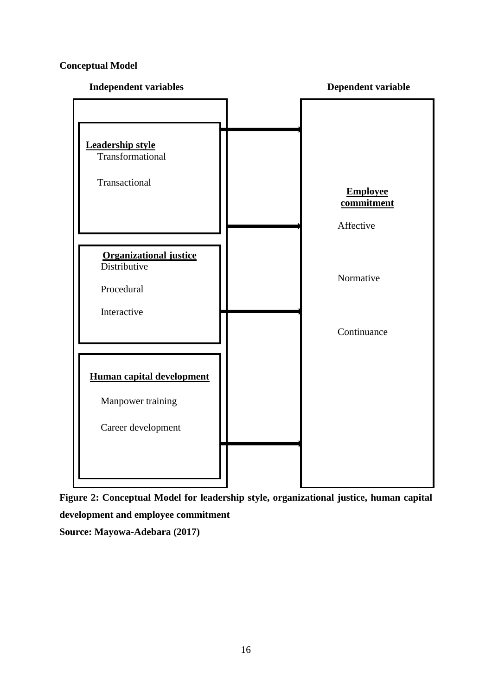## **Conceptual Model**



**Figure 2: Conceptual Model for leadership style, organizational justice, human capital development and employee commitment Source: Mayowa-Adebara (2017)**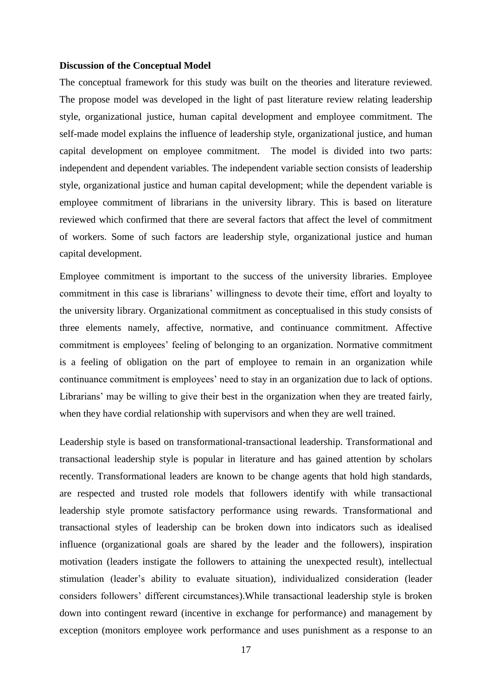### **Discussion of the Conceptual Model**

The conceptual framework for this study was built on the theories and literature reviewed. The propose model was developed in the light of past literature review relating leadership style, organizational justice, human capital development and employee commitment. The self-made model explains the influence of leadership style, organizational justice, and human capital development on employee commitment. The model is divided into two parts: independent and dependent variables. The independent variable section consists of leadership style, organizational justice and human capital development; while the dependent variable is employee commitment of librarians in the university library. This is based on literature reviewed which confirmed that there are several factors that affect the level of commitment of workers. Some of such factors are leadership style, organizational justice and human capital development.

Employee commitment is important to the success of the university libraries. Employee commitment in this case is librarians' willingness to devote their time, effort and loyalty to the university library. Organizational commitment as conceptualised in this study consists of three elements namely, affective, normative, and continuance commitment. Affective commitment is employees' feeling of belonging to an organization. Normative commitment is a feeling of obligation on the part of employee to remain in an organization while continuance commitment is employees' need to stay in an organization due to lack of options. Librarians' may be willing to give their best in the organization when they are treated fairly, when they have cordial relationship with supervisors and when they are well trained.

Leadership style is based on transformational-transactional leadership. Transformational and transactional leadership style is popular in literature and has gained attention by scholars recently. Transformational leaders are known to be change agents that hold high standards, are respected and trusted role models that followers identify with while transactional leadership style promote satisfactory performance using rewards. Transformational and transactional styles of leadership can be broken down into indicators such as idealised influence (organizational goals are shared by the leader and the followers), inspiration motivation (leaders instigate the followers to attaining the unexpected result), intellectual stimulation (leader's ability to evaluate situation), individualized consideration (leader considers followers' different circumstances).While transactional leadership style is broken down into contingent reward (incentive in exchange for performance) and management by exception (monitors employee work performance and uses punishment as a response to an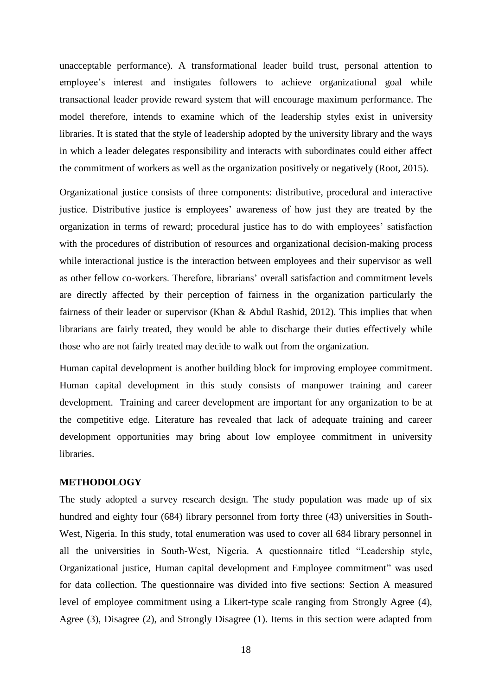unacceptable performance). A transformational leader build trust, personal attention to employee's interest and instigates followers to achieve organizational goal while transactional leader provide reward system that will encourage maximum performance. The model therefore, intends to examine which of the leadership styles exist in university libraries. It is stated that the style of leadership adopted by the university library and the ways in which a leader delegates responsibility and interacts with subordinates could either affect the commitment of workers as well as the organization positively or negatively (Root, 2015).

Organizational justice consists of three components: distributive, procedural and interactive justice. Distributive justice is employees' awareness of how just they are treated by the organization in terms of reward; procedural justice has to do with employees' satisfaction with the procedures of distribution of resources and organizational decision-making process while interactional justice is the interaction between employees and their supervisor as well as other fellow co-workers. Therefore, librarians' overall satisfaction and commitment levels are directly affected by their perception of fairness in the organization particularly the fairness of their leader or supervisor (Khan & Abdul Rashid, 2012). This implies that when librarians are fairly treated, they would be able to discharge their duties effectively while those who are not fairly treated may decide to walk out from the organization.

Human capital development is another building block for improving employee commitment. Human capital development in this study consists of manpower training and career development. Training and career development are important for any organization to be at the competitive edge. Literature has revealed that lack of adequate training and career development opportunities may bring about low employee commitment in university libraries.

## **METHODOLOGY**

The study adopted a survey research design. The study population was made up of six hundred and eighty four (684) library personnel from forty three (43) universities in South-West, Nigeria. In this study, total enumeration was used to cover all 684 library personnel in all the universities in South-West, Nigeria. A questionnaire titled "Leadership style, Organizational justice, Human capital development and Employee commitment" was used for data collection. The questionnaire was divided into five sections: Section A measured level of employee commitment using a Likert-type scale ranging from Strongly Agree (4), Agree (3), Disagree (2), and Strongly Disagree (1). Items in this section were adapted from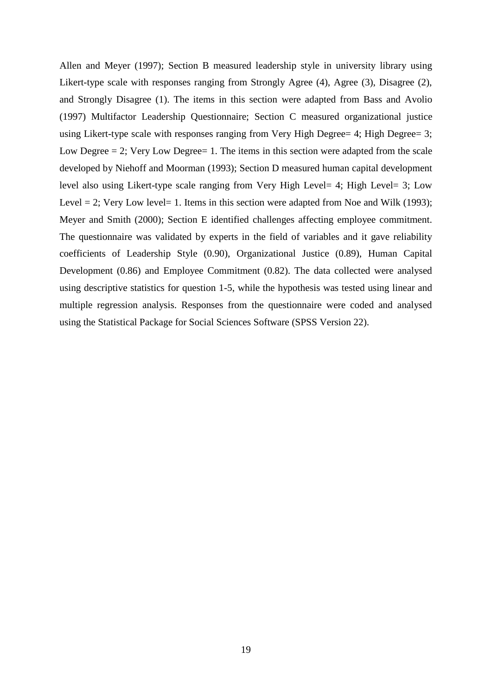Allen and Meyer (1997); Section B measured leadership style in university library using Likert-type scale with responses ranging from Strongly Agree (4), Agree (3), Disagree (2), and Strongly Disagree (1). The items in this section were adapted from Bass and Avolio (1997) Multifactor Leadership Questionnaire; Section C measured organizational justice using Likert-type scale with responses ranging from Very High Degree= 4; High Degree= 3; Low Degree  $= 2$ ; Very Low Degree  $= 1$ . The items in this section were adapted from the scale developed by Niehoff and Moorman (1993); Section D measured human capital development level also using Likert-type scale ranging from Very High Level= 4; High Level= 3; Low Level  $= 2$ ; Very Low level  $= 1$ . Items in this section were adapted from Noe and Wilk (1993); Meyer and Smith (2000); Section E identified challenges affecting employee commitment. The questionnaire was validated by experts in the field of variables and it gave reliability coefficients of Leadership Style (0.90), Organizational Justice (0.89), Human Capital Development (0.86) and Employee Commitment (0.82). The data collected were analysed using descriptive statistics for question 1-5, while the hypothesis was tested using linear and multiple regression analysis. Responses from the questionnaire were coded and analysed using the Statistical Package for Social Sciences Software (SPSS Version 22).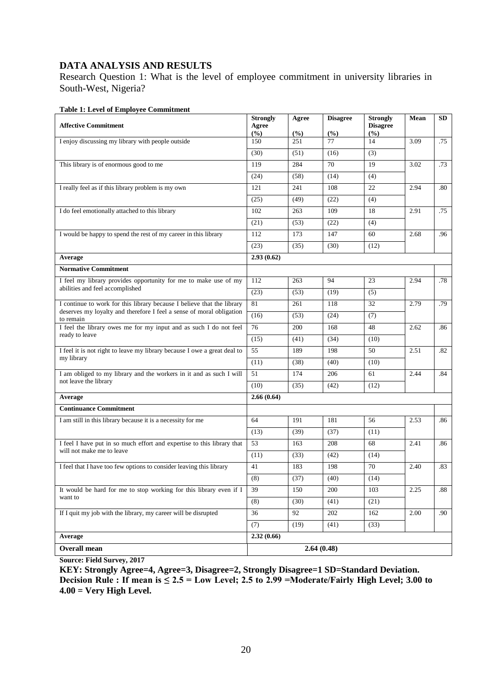## **DATA ANALYSIS AND RESULTS**

Research Question 1: What is the level of employee commitment in university libraries in South-West, Nigeria?

| <b>Affective Commitment</b>                                                         | <b>Strongly</b><br>Agree<br>$(\%)$ | Agree<br>(%) | <b>Disagree</b><br>(%) | <b>Strongly</b><br><b>Disagree</b><br>(%) | Mean | SD      |
|-------------------------------------------------------------------------------------|------------------------------------|--------------|------------------------|-------------------------------------------|------|---------|
| I enjoy discussing my library with people outside                                   | 150                                | 251          | 77                     | 14                                        | 3.09 | .75     |
|                                                                                     | (30)                               | (51)         | (16)                   | (3)                                       |      |         |
| This library is of enormous good to me                                              | 119                                | 284          | 70                     | 19                                        | 3.02 | .73     |
|                                                                                     | (24)                               | (58)         | (14)                   | (4)                                       |      |         |
| I really feel as if this library problem is my own                                  | 121                                | 241          | 108                    | 22                                        | 2.94 | $.80\,$ |
|                                                                                     | (25)                               | (49)         | (22)                   | (4)                                       |      |         |
| I do feel emotionally attached to this library                                      | 102                                | 263          | 109                    | 18                                        | 2.91 | .75     |
|                                                                                     | (21)                               | (53)         | (22)                   | (4)                                       |      |         |
| I would be happy to spend the rest of my career in this library                     | 112                                | 173          | 147                    | 60                                        | 2.68 | .96     |
|                                                                                     | (23)                               | (35)         | (30)                   | (12)                                      |      |         |
| Average                                                                             | 2.93(0.62)                         |              |                        |                                           |      |         |
| <b>Normative Commitment</b>                                                         |                                    |              |                        |                                           |      |         |
| I feel my library provides opportunity for me to make use of my                     | 112                                | 263          | 94                     | 23                                        | 2.94 | .78     |
| abilities and feel accomplished                                                     | (23)                               | (53)         | (19)                   | (5)                                       |      |         |
| I continue to work for this library because I believe that the library              | 81                                 | 261          | 118                    | 32                                        | 2.79 | .79     |
| deserves my loyalty and therefore I feel a sense of moral obligation<br>to remain   | (16)                               | (53)         | (24)                   | (7)                                       |      |         |
| I feel the library owes me for my input and as such I do not feel<br>ready to leave | 76                                 | 200          | 168                    | 48                                        | 2.62 | .86     |
|                                                                                     | (15)                               | (41)         | (34)                   | (10)                                      |      |         |
| I feel it is not right to leave my library because I owe a great deal to            | 55                                 | 189          | 198                    | 50                                        | 2.51 | .82     |
| my library                                                                          | (11)                               | (38)         | (40)                   | (10)                                      |      |         |
| I am obliged to my library and the workers in it and as such I will                 | 51                                 | 174          | 206                    | 61                                        | 2.44 | .84     |
| not leave the library                                                               | (10)                               | (35)         | (42)                   | (12)                                      |      |         |
| Average                                                                             | 2.66(0.64)                         |              |                        |                                           |      |         |
| <b>Continuance Commitment</b>                                                       |                                    |              |                        |                                           |      |         |
| I am still in this library because it is a necessity for me                         | 64                                 | 191          | 181                    | 56                                        | 2.53 | .86     |
|                                                                                     | (13)                               | (39)         | (37)                   | (11)                                      |      |         |
| I feel I have put in so much effort and expertise to this library that              | 53                                 | 163          | 208                    | 68                                        | 2.41 | .86     |
| will not make me to leave                                                           | (11)                               | (33)         | (42)                   | (14)                                      |      |         |
| I feel that I have too few options to consider leaving this library                 | 41                                 | 183          | 198                    | 70                                        | 2.40 | .83     |
|                                                                                     | (8)                                | (37)         | (40)                   | (14)                                      |      |         |
| It would be hard for me to stop working for this library even if I                  | 39                                 | 150          | 200                    | 103                                       | 2.25 | .88     |
| want to                                                                             | (8)                                | (30)         | (41)                   | (21)                                      |      |         |
| If I quit my job with the library, my career will be disrupted                      | 36                                 | 92           | 202                    | 162                                       | 2.00 | .90     |
|                                                                                     | (7)                                | (19)         | (41)                   | (33)                                      |      |         |
| Average                                                                             | 2.32(0.66)                         |              |                        |                                           |      |         |
| Overall mean                                                                        |                                    |              | 2.64(0.48)             |                                           |      |         |

### **Table 1: Level of Employee Commitment**

**Source: Field Survey, 2017**

**KEY: Strongly Agree=4, Agree=3, Disagree=2, Strongly Disagree=1 SD=Standard Deviation. Decision Rule : If mean is**  $\leq 2.5 =$  **Low Level; 2.5 to 2.99 = Moderate/Fairly High Level; 3.00 to 4.00 = Very High Level.**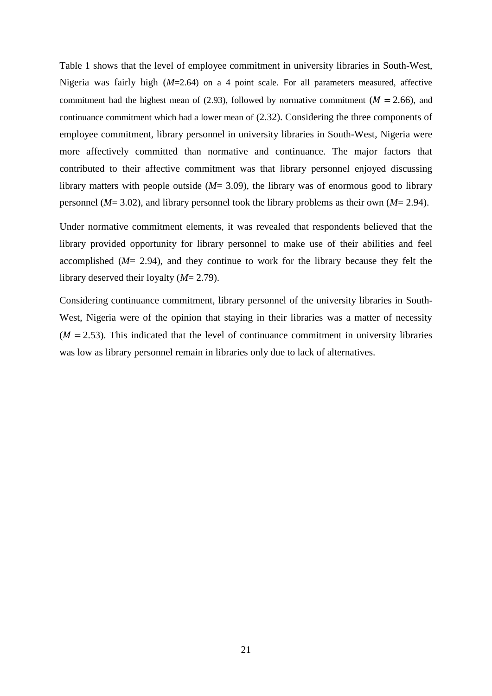Table 1 shows that the level of employee commitment in university libraries in South-West, Nigeria was fairly high (*M*=2.64) on a 4 point scale. For all parameters measured, affective commitment had the highest mean of (2.93), followed by normative commitment ( $M = 2.66$ ), and continuance commitment which had a lower mean of (2.32). Considering the three components of employee commitment, library personnel in university libraries in South-West, Nigeria were more affectively committed than normative and continuance. The major factors that contributed to their affective commitment was that library personnel enjoyed discussing library matters with people outside (*M*= 3.09), the library was of enormous good to library personnel (*M*= 3.02), and library personnel took the library problems as their own (*M*= 2.94).

Under normative commitment elements, it was revealed that respondents believed that the library provided opportunity for library personnel to make use of their abilities and feel accomplished (*M*= 2.94), and they continue to work for the library because they felt the library deserved their loyalty (*M*= 2.79).

Considering continuance commitment, library personnel of the university libraries in South-West, Nigeria were of the opinion that staying in their libraries was a matter of necessity  $(M = 2.53)$ . This indicated that the level of continuance commitment in university libraries was low as library personnel remain in libraries only due to lack of alternatives.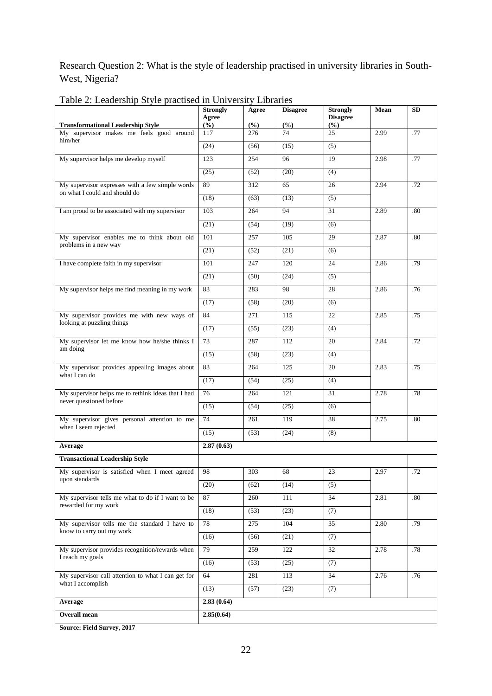Research Question 2: What is the style of leadership practised in university libraries in South-West, Nigeria?

5

|                                                                                      | <b>Strongly</b><br>Agree | Agree      | <b>Disagree</b> | <b>Strongly</b><br><b>Disagree</b> | Mean | SD  |
|--------------------------------------------------------------------------------------|--------------------------|------------|-----------------|------------------------------------|------|-----|
| <b>Transformational Leadership Style</b><br>My supervisor makes me feels good around | (%)<br>117               | (%)<br>276 | (%)<br>74       | (%)<br>25                          | 2.99 | .77 |
| him/her                                                                              | (24)                     | (56)       | (15)            | (5)                                |      |     |
| My supervisor helps me develop myself                                                | 123                      | 254        | 96              | 19                                 | 2.98 | .77 |
|                                                                                      | (25)                     | (52)       | (20)            | (4)                                |      |     |
| My supervisor expresses with a few simple words                                      | 89                       | 312        | 65              | 26                                 | 2.94 | .72 |
| on what I could and should do                                                        | (18)                     | (63)       | (13)            | (5)                                |      |     |
| I am proud to be associated with my supervisor                                       | 103                      | 264        | 94              | 31                                 | 2.89 | .80 |
|                                                                                      | (21)                     | (54)       | (19)            | (6)                                |      |     |
| My supervisor enables me to think about old                                          | 101                      | 257        | 105             | 29                                 | 2.87 | .80 |
| problems in a new way                                                                | (21)                     | (52)       | (21)            | (6)                                |      |     |
| I have complete faith in my supervisor                                               | 101                      | 247        | 120             | 24                                 | 2.86 | .79 |
|                                                                                      | (21)                     | (50)       | (24)            | (5)                                |      |     |
| My supervisor helps me find meaning in my work                                       | 83                       | 283        | 98              | 28                                 | 2.86 | .76 |
|                                                                                      | (17)                     | (58)       | (20)            | (6)                                |      |     |
| My supervisor provides me with new ways of                                           | 84                       | 271        | 115             | 22                                 | 2.85 | .75 |
| looking at puzzling things                                                           | (17)                     | (55)       | (23)            | (4)                                |      |     |
| My supervisor let me know how he/she thinks I                                        | 73                       | 287        | 112             | 20                                 | 2.84 | .72 |
| am doing                                                                             | (15)                     | (58)       | (23)            | (4)                                |      |     |
| My supervisor provides appealing images about<br>what I can do                       | 83                       | 264        | 125             | 20                                 | 2.83 | .75 |
|                                                                                      | (17)                     | (54)       | (25)            | (4)                                |      |     |
| My supervisor helps me to rethink ideas that I had<br>never questioned before        | 76                       | 264        | 121             | 31                                 | 2.78 | .78 |
|                                                                                      | (15)                     | (54)       | (25)            | (6)                                |      |     |
| My supervisor gives personal attention to me<br>when I seem rejected                 | 74                       | 261        | 119             | 38                                 | 2.75 | .80 |
|                                                                                      | (15)                     | (53)       | (24)            | (8)                                |      |     |
| Average                                                                              | 2.87(0.63)               |            |                 |                                    |      |     |
| <b>Transactional Leadership Style</b>                                                |                          |            |                 |                                    |      |     |
| My supervisor is satisfied when I meet agreed                                        | 98                       | 303        | 68              | 23                                 | 2.97 | .72 |
| upon standards                                                                       | (20)                     | (62)       | (14)            | (5)                                |      |     |
| My supervisor tells me what to do if I want to be<br>rewarded for my work            | 87                       | 260        | 111             | 34                                 | 2.81 | .80 |
|                                                                                      | (18)                     | (53)       | (23)            | (7)                                |      |     |
| My supervisor tells me the standard I have to<br>know to carry out my work           | 78                       | 275        | 104             | 35                                 | 2.80 | .79 |
|                                                                                      | (16)                     | (56)       | (21)            | (7)                                |      |     |
| My supervisor provides recognition/rewards when<br>I reach my goals                  | 79                       | 259        | 122             | 32                                 | 2.78 | .78 |
|                                                                                      | (16)                     | (53)       | (25)            | (7)                                |      |     |
| My supervisor call attention to what I can get for<br>what I accomplish              | 64                       | 281        | 113             | 34                                 | 2.76 | .76 |
|                                                                                      | (13)                     | (57)       | (23)            | (7)                                |      |     |
| Average                                                                              | 2.83(0.64)               |            |                 |                                    |      |     |
| <b>Overall mean</b>                                                                  | 2.85(0.64)               |            |                 |                                    |      |     |

Table 2: Leadership Style practised in University Libraries

**Source: Field Survey, 2017**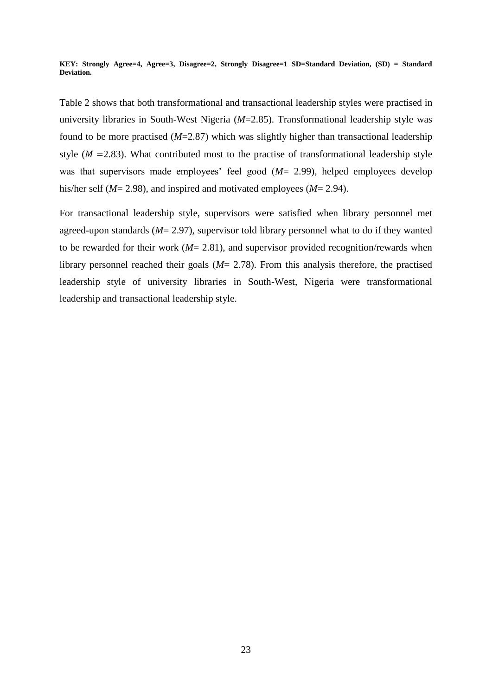**KEY: Strongly Agree=4, Agree=3, Disagree=2, Strongly Disagree=1 SD=Standard Deviation, (SD) = Standard Deviation.**

Table 2 shows that both transformational and transactional leadership styles were practised in university libraries in South-West Nigeria (*M*=2.85). Transformational leadership style was found to be more practised (*M*=2.87) which was slightly higher than transactional leadership style ( $M = 2.83$ ). What contributed most to the practise of transformational leadership style was that supervisors made employees' feel good (*M*= 2.99), helped employees develop his/her self (*M*= 2.98), and inspired and motivated employees (*M*= 2.94).

For transactional leadership style, supervisors were satisfied when library personnel met agreed-upon standards (*M*= 2.97), supervisor told library personnel what to do if they wanted to be rewarded for their work (*M*= 2.81), and supervisor provided recognition/rewards when library personnel reached their goals (*M*= 2.78). From this analysis therefore, the practised leadership style of university libraries in South-West, Nigeria were transformational leadership and transactional leadership style.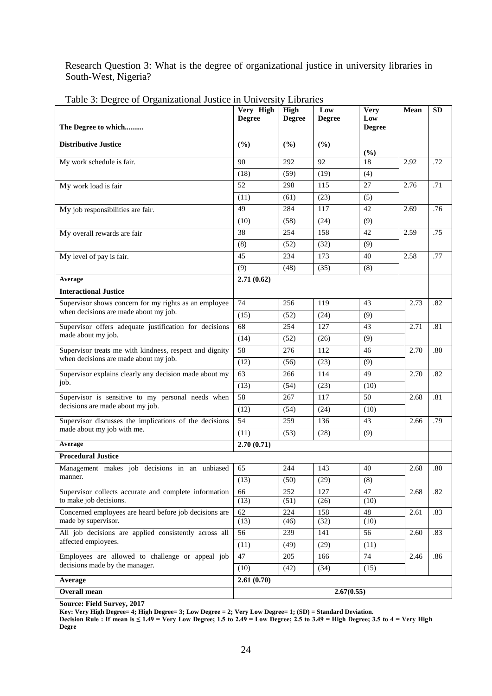Research Question 3: What is the degree of organizational justice in university libraries in South-West, Nigeria?

|                                                                                                  | Very High<br><b>Degree</b> | High<br><b>Degree</b> | Low<br><b>Degree</b> | <b>Very</b><br>Low | Mean | <b>SD</b> |
|--------------------------------------------------------------------------------------------------|----------------------------|-----------------------|----------------------|--------------------|------|-----------|
| The Degree to which                                                                              |                            |                       |                      | <b>Degree</b>      |      |           |
| <b>Distributive Justice</b>                                                                      | (%)                        | (%)                   | (%)                  |                    |      |           |
|                                                                                                  |                            |                       |                      | (%)                |      |           |
| My work schedule is fair.                                                                        | 90                         | 292                   | 92                   | 18                 | 2.92 | .72       |
|                                                                                                  | (18)                       | (59)                  | (19)                 | (4)                |      |           |
| My work load is fair                                                                             | 52                         | 298                   | 115                  | 27                 | 2.76 | .71       |
|                                                                                                  | (11)                       | (61)                  | (23)                 | (5)                |      |           |
| My job responsibilities are fair.                                                                | 49                         | 284                   | 117                  | 42                 | 2.69 | .76       |
|                                                                                                  | (10)                       | (58)                  | (24)                 | (9)                |      |           |
| My overall rewards are fair                                                                      | 38                         | 254                   | 158                  | 42                 | 2.59 | .75       |
|                                                                                                  | (8)                        | (52)                  | (32)                 | (9)                |      |           |
| My level of pay is fair.                                                                         | 45                         | 234                   | 173                  | 40                 | 2.58 | .77       |
|                                                                                                  | (9)                        | (48)                  | (35)                 | (8)                |      |           |
| Average                                                                                          | 2.71(0.62)                 |                       |                      |                    |      |           |
| <b>Interactional Justice</b>                                                                     |                            |                       |                      |                    |      |           |
| Supervisor shows concern for my rights as an employee<br>when decisions are made about my job.   | 74                         | 256                   | 119                  | 43                 | 2.73 | .82       |
|                                                                                                  | (15)                       | (52)                  | (24)                 | (9)                |      |           |
| Supervisor offers adequate justification for decisions<br>made about my job.                     | 68                         | 254                   | 127                  | 43                 | 2.71 | .81       |
|                                                                                                  | (14)                       | (52)                  | (26)                 | (9)                |      |           |
| Supervisor treats me with kindness, respect and dignity<br>when decisions are made about my job. | 58                         | 276                   | 112                  | 46                 | 2.70 | .80       |
|                                                                                                  | (12)                       | (56)                  | (23)                 | (9)                |      |           |
| Supervisor explains clearly any decision made about my                                           | 63                         | 266                   | 114                  | 49                 | 2.70 | .82       |
| job.                                                                                             | (13)                       | (54)                  | (23)                 | (10)               |      |           |
| Supervisor is sensitive to my personal needs when                                                | $\overline{58}$            | 267                   | 117                  | 50                 | 2.68 | .81       |
| decisions are made about my job.                                                                 | (12)                       | (54)                  | (24)                 | (10)               |      |           |
| Supervisor discusses the implications of the decisions                                           | 54                         | 259                   | 136                  | 43                 | 2.66 | .79       |
| made about my job with me.                                                                       | (11)                       | (53)                  | (28)                 | (9)                |      |           |
| Average                                                                                          | 2.70(0.71)                 |                       |                      |                    |      |           |
| <b>Procedural Justice</b>                                                                        |                            |                       |                      |                    |      |           |
| Management makes job decisions in an unbiased                                                    | 65                         | 244                   | 143                  | 40                 | 2.68 | .80       |
| manner.                                                                                          | (13)                       | (50)                  | (29)                 | (8)                |      |           |
| Supervisor collects accurate and complete information                                            | 66                         | 252                   | 127                  | 47                 | 2.68 | .82       |
| to make job decisions.                                                                           | (13)                       | (51)                  | (26)                 | (10)               |      |           |
| Concerned employees are heard before job decisions are<br>made by supervisor.                    | 62<br>(13)                 | 224<br>(46)           | 158<br>(32)          | 48<br>(10)         | 2.61 | .83       |
| All job decisions are applied consistently across all                                            | 56                         | 239                   | 141                  | 56                 | 2.60 | .83       |
| affected employees.                                                                              | (11)                       | (49)                  | (29)                 | (11)               |      |           |
| Employees are allowed to challenge or appeal job                                                 | 47                         | 205                   | 166                  | 74                 | 2.46 | .86       |
| decisions made by the manager.                                                                   | (10)                       | (42)                  | (34)                 | (15)               |      |           |
| Average                                                                                          | 2.61(0.70)                 |                       |                      |                    |      |           |
| Overall mean<br>2.67(0.55)                                                                       |                            |                       |                      |                    |      |           |
|                                                                                                  |                            |                       |                      |                    |      |           |

Table 3: Degree of Organizational Justice in University Libraries

**Source: Field Survey, 2017**

**Key: Very High Degree= 4; High Degree= 3; Low Degree = 2; Very Low Degree= 1; (SD) = Standard Deviation.**

**Decision Rule : If mean is ≤ 1.49 = Very Low Degree; 1.5 to 2.49 = Low Degree; 2.5 to 3.49 = High Degree; 3.5 to 4 = Very High Degre**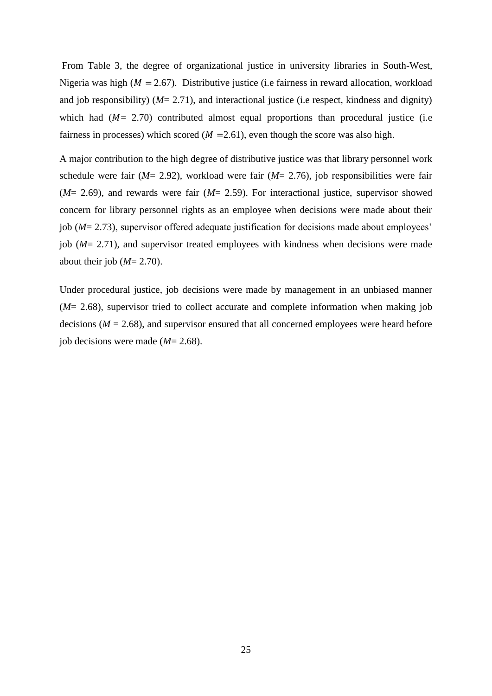From Table 3, the degree of organizational justice in university libraries in South-West, Nigeria was high ( $M = 2.67$ ). Distributive justice (i.e fairness in reward allocation, workload and job responsibility)  $(M= 2.71)$ , and interactional justice (i.e respect, kindness and dignity) which had  $(M = 2.70)$  contributed almost equal proportions than procedural justice (i.e. fairness in processes) which scored ( $M = 2.61$ ), even though the score was also high.

A major contribution to the high degree of distributive justice was that library personnel work schedule were fair (*M*= 2.92), workload were fair (*M*= 2.76), job responsibilities were fair (*M*= 2.69), and rewards were fair (*M*= 2.59). For interactional justice, supervisor showed concern for library personnel rights as an employee when decisions were made about their job (*M*= 2.73), supervisor offered adequate justification for decisions made about employees' job (*M*= 2.71), and supervisor treated employees with kindness when decisions were made about their job (*M*= 2.70).

Under procedural justice, job decisions were made by management in an unbiased manner (*M*= 2.68), supervisor tried to collect accurate and complete information when making job decisions  $(M = 2.68)$ , and supervisor ensured that all concerned employees were heard before job decisions were made (*M*= 2.68).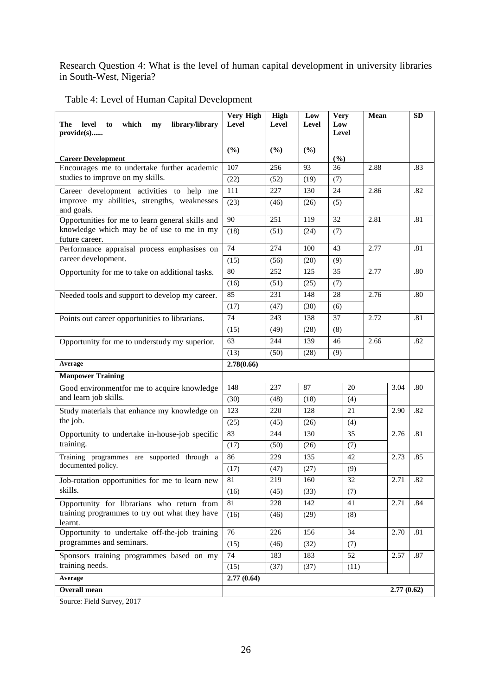Research Question 4: What is the level of human capital development in university libraries in South-West, Nigeria?

Table 4: Level of Human Capital Development

| library/library<br>The<br>level<br>which<br>to<br>my<br>provide(s) | Very High<br>Level<br>(%) | High<br>Level<br>(%) | Low<br><b>Level</b><br>(%) | <b>Very</b><br>Low<br>Level |           | Mean |            | <b>SD</b> |
|--------------------------------------------------------------------|---------------------------|----------------------|----------------------------|-----------------------------|-----------|------|------------|-----------|
| <b>Career Development</b>                                          |                           |                      |                            | (%)                         |           |      |            |           |
| Encourages me to undertake further academic                        | 107                       | 256                  | 93                         | 36                          |           | 2.88 |            | .83       |
| studies to improve on my skills.                                   | (22)                      | (52)                 | (19)                       | (7)                         |           |      |            |           |
| Career development activities to help me                           | 111                       | 227                  | 130                        | 24                          |           | 2.86 |            | .82       |
| improve my abilities, strengths, weaknesses<br>and goals.          | (23)                      | (46)                 | (26)                       | (5)                         |           |      |            |           |
| Opportunities for me to learn general skills and                   | 90                        | 251                  | 119                        | 32                          |           | 2.81 |            | .81       |
| knowledge which may be of use to me in my<br>future career.        | (18)                      | (51)                 | (24)                       | (7)                         |           |      |            |           |
| Performance appraisal process emphasises on                        | 74                        | 274                  | 100                        | 43                          |           | 2.77 |            | .81       |
| career development.                                                | (15)                      | (56)                 | (20)                       | (9)                         |           |      |            |           |
| Opportunity for me to take on additional tasks.                    | 80                        | 252                  | 125                        | 35                          |           | 2.77 |            | .80       |
|                                                                    | (16)                      | (51)                 | (25)                       | (7)                         |           |      |            |           |
| Needed tools and support to develop my career.                     | 85                        | 231                  | 148                        | 28                          |           | 2.76 |            | .80       |
|                                                                    | (17)                      | (47)                 | (30)                       | (6)                         |           |      |            |           |
| Points out career opportunities to librarians.                     | 74                        | 243                  | 138                        | 37                          |           | 2.72 |            | .81       |
|                                                                    | (15)                      | (49)                 | (28)                       | (8)                         |           |      |            |           |
| Opportunity for me to understudy my superior.                      | 63                        | 244                  | 139                        | 46                          | 2.66      |      |            | .82       |
|                                                                    | (13)                      | (50)                 | (28)                       | (9)                         |           |      |            |           |
| Average                                                            | 2.78(0.66)                |                      |                            |                             |           |      |            |           |
| <b>Manpower Training</b>                                           |                           |                      |                            |                             |           |      |            |           |
| Good environmentfor me to acquire knowledge                        | 148                       | 237                  | 87                         |                             | 20<br>(4) |      | 3.04       | .80       |
| and learn job skills.                                              | (30)                      | (48)                 | (18)                       |                             |           |      |            |           |
| Study materials that enhance my knowledge on                       | 123                       | 220                  | 128                        |                             | 21        |      | 2.90       | .82       |
| the job.                                                           | (25)                      | (45)                 | (26)                       |                             | (4)       |      |            |           |
| Opportunity to undertake in-house-job specific                     | 83                        | 244                  | 130                        |                             | 35        |      | 2.76       | .81       |
| training.                                                          | (17)                      | (50)                 | (26)                       |                             | (7)       |      |            |           |
| Training programmes are supported through a                        | 86                        | 229                  | 135                        |                             | 42        |      | 2.73       | .85       |
| documented policy.                                                 | (17)                      | (47)                 | (27)                       |                             | (9)       |      |            |           |
| Job-rotation opportunities for me to learn new                     | 81                        | 219                  | 160                        |                             | 32        |      | 2.71       | .82       |
| skills.                                                            | (16)                      | (45)                 | (33)                       |                             | (7)       |      |            |           |
| Opportunity for librarians who return from                         | 81                        | 228                  | 142                        |                             | 41        |      | 2.71       | .84       |
| training programmes to try out what they have<br>learnt.           | (16)                      | (46)                 | (29)                       |                             | (8)       |      |            |           |
| Opportunity to undertake off-the-job training                      | 76                        | 226                  | 156                        |                             | 34        |      | 2.70       | .81       |
| programmes and seminars.                                           | (15)                      | (46)                 | (32)                       |                             | (7)       |      |            |           |
| Sponsors training programmes based on my                           | $\overline{74}$           | 183                  | 183                        |                             | 52        |      | 2.57       | .87       |
| training needs.                                                    | (15)                      | (37)                 | (37)                       |                             | (11)      |      |            |           |
| Average                                                            | 2.77(0.64)                |                      |                            |                             |           |      |            |           |
| Overall mean                                                       |                           |                      |                            |                             |           |      | 2.77(0.62) |           |

Source: Field Survey, 2017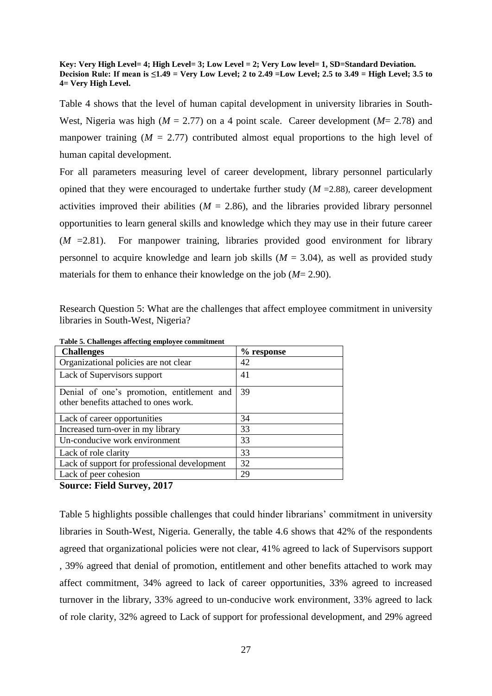#### **Key: Very High Level= 4; High Level= 3; Low Level = 2; Very Low level= 1, SD=Standard Deviation. Decision Rule: If mean is ≤1.49 = Very Low Level; 2 to 2.49 =Low Level; 2.5 to 3.49 = High Level; 3.5 to 4= Very High Level.**

Table 4 shows that the level of human capital development in university libraries in South-West, Nigeria was high (*M* = 2.77) on a 4 point scale. Career development (*M*= 2.78) and manpower training  $(M = 2.77)$  contributed almost equal proportions to the high level of human capital development.

For all parameters measuring level of career development, library personnel particularly opined that they were encouraged to undertake further study  $(M = 2.88)$ , career development activities improved their abilities ( $M = 2.86$ ), and the libraries provided library personnel opportunities to learn general skills and knowledge which they may use in their future career  $(M = 2.81)$ . For manpower training, libraries provided good environment for library personnel to acquire knowledge and learn job skills  $(M = 3.04)$ , as well as provided study materials for them to enhance their knowledge on the job (*M*= 2.90).

Research Question 5: What are the challenges that affect employee commitment in university libraries in South-West, Nigeria?

| examenges anceenig employee comm<br><b>Challenges</b> | % response |
|-------------------------------------------------------|------------|
|                                                       |            |
| Organizational policies are not clear                 | 42         |
| Lack of Supervisors support                           | 41         |
| Denial of one's promotion, entitlement and            | 39         |
| other benefits attached to ones work.                 |            |
| Lack of career opportunities                          | 34         |
| Increased turn-over in my library                     | 33         |
| Un-conducive work environment                         | 33         |
| Lack of role clarity                                  | 33         |
| Lack of support for professional development          | 32         |
| Lack of peer cohesion                                 | 29         |

**Table 5. Challenges affecting employee commitment**

**Source: Field Survey, 2017**

Table 5 highlights possible challenges that could hinder librarians' commitment in university libraries in South-West, Nigeria. Generally, the table 4.6 shows that 42% of the respondents agreed that organizational policies were not clear, 41% agreed to lack of Supervisors support , 39% agreed that denial of promotion, entitlement and other benefits attached to work may affect commitment, 34% agreed to lack of career opportunities, 33% agreed to increased turnover in the library, 33% agreed to un-conducive work environment, 33% agreed to lack of role clarity, 32% agreed to Lack of support for professional development, and 29% agreed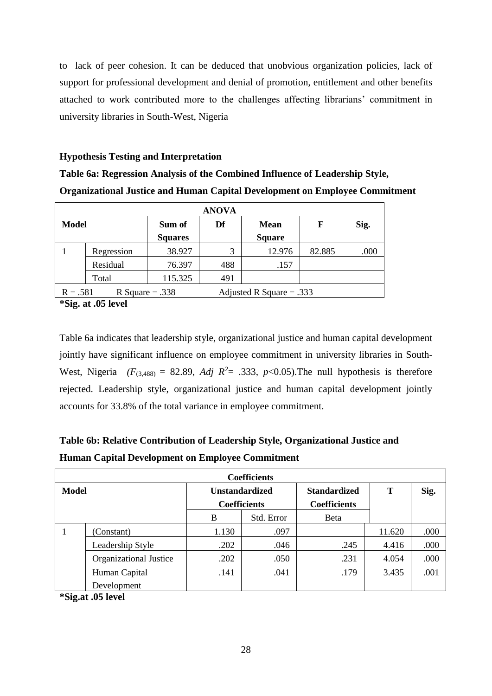to lack of peer cohesion. It can be deduced that unobvious organization policies, lack of support for professional development and denial of promotion, entitlement and other benefits attached to work contributed more to the challenges affecting librarians' commitment in university libraries in South-West, Nigeria

## **Hypothesis Testing and Interpretation**

**Table 6a: Regression Analysis of the Combined Influence of Leadership Style, Organizational Justice and Human Capital Development on Employee Commitment**

| <b>ANOVA</b> |                                                               |                |     |               |        |      |  |  |
|--------------|---------------------------------------------------------------|----------------|-----|---------------|--------|------|--|--|
| <b>Model</b> |                                                               | Sum of         | Df  | <b>Mean</b>   | F      | Sig. |  |  |
|              |                                                               | <b>Squares</b> |     | <b>Square</b> |        |      |  |  |
|              | Regression                                                    | 38.927         | 3   | 12.976        | 82.885 | .000 |  |  |
|              | Residual                                                      | 76.397         | 488 | .157          |        |      |  |  |
|              | Total                                                         | 115.325        | 491 |               |        |      |  |  |
|              | R Square = $.338$<br>$R = .581$<br>Adjusted R Square = $.333$ |                |     |               |        |      |  |  |

**\*Sig. at .05 level**

Table 6a indicates that leadership style, organizational justice and human capital development jointly have significant influence on employee commitment in university libraries in South-West, Nigeria  $(F_{(3,488)} = 82.89$ , *Adj R*<sup>2</sup>= .333, *p*<0.05). The null hypothesis is therefore rejected. Leadership style, organizational justice and human capital development jointly accounts for 33.8% of the total variance in employee commitment.

# **Table 6b: Relative Contribution of Leadership Style, Organizational Justice and Human Capital Development on Employee Commitment**

| <b>Coefficients</b> |                        |                       |                     |                                            |        |      |  |  |  |  |
|---------------------|------------------------|-----------------------|---------------------|--------------------------------------------|--------|------|--|--|--|--|
| <b>Model</b>        |                        | <b>Unstandardized</b> | <b>Coefficients</b> | <b>Standardized</b><br><b>Coefficients</b> | T      | Sig. |  |  |  |  |
|                     |                        | B                     | Std. Error          | <b>Beta</b>                                |        |      |  |  |  |  |
|                     | (Constant)             | 1.130                 | .097                |                                            | 11.620 | .000 |  |  |  |  |
|                     | Leadership Style       | .202                  | .046                | .245                                       | 4.416  | .000 |  |  |  |  |
|                     | Organizational Justice | .202                  | .050                | .231                                       | 4.054  | .000 |  |  |  |  |
|                     | Human Capital          | .141                  | .041                | .179                                       | 3.435  | .001 |  |  |  |  |
|                     | Development            |                       |                     |                                            |        |      |  |  |  |  |

**\*Sig.at .05 level**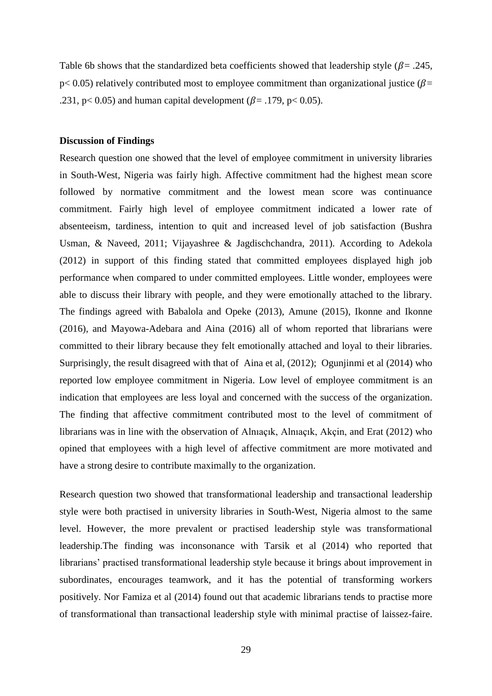Table 6b shows that the standardized beta coefficients showed that leadership style ( $\beta$ = .245,  $p<$  0.05) relatively contributed most to employee commitment than organizational justice ( $\beta$ = .231, p< 0.05) and human capital development ( $\beta$ = .179, p< 0.05).

## **Discussion of Findings**

Research question one showed that the level of employee commitment in university libraries in South-West, Nigeria was fairly high. Affective commitment had the highest mean score followed by normative commitment and the lowest mean score was continuance commitment. Fairly high level of employee commitment indicated a lower rate of absenteeism, tardiness, intention to quit and increased level of job satisfaction (Bushra Usman, & Naveed, 2011; Vijayashree & Jagdischchandra, 2011). According to Adekola (2012) in support of this finding stated that committed employees displayed high job performance when compared to under committed employees. Little wonder, employees were able to discuss their library with people, and they were emotionally attached to the library. The findings agreed with Babalola and Opeke (2013), Amune (2015), Ikonne and Ikonne (2016), and Mayowa-Adebara and Aina (2016) all of whom reported that librarians were committed to their library because they felt emotionally attached and loyal to their libraries. Surprisingly, the result disagreed with that of Aina et al, (2012); Ogunjinmi et al (2014) who reported low employee commitment in Nigeria. Low level of employee commitment is an indication that employees are less loyal and concerned with the success of the organization. The finding that affective commitment contributed most to the level of commitment of librarians was in line with the observation of Alnıaçık, Alnıaçık, Akçin, and Erat (2012) who opined that employees with a high level of affective commitment are more motivated and have a strong desire to contribute maximally to the organization.

Research question two showed that transformational leadership and transactional leadership style were both practised in university libraries in South-West, Nigeria almost to the same level. However, the more prevalent or practised leadership style was transformational leadership.The finding was inconsonance with Tarsik et al (2014) who reported that librarians' practised transformational leadership style because it brings about improvement in subordinates, encourages teamwork, and it has the potential of transforming workers positively. Nor Famiza et al (2014) found out that academic librarians tends to practise more of transformational than transactional leadership style with minimal practise of laissez-faire.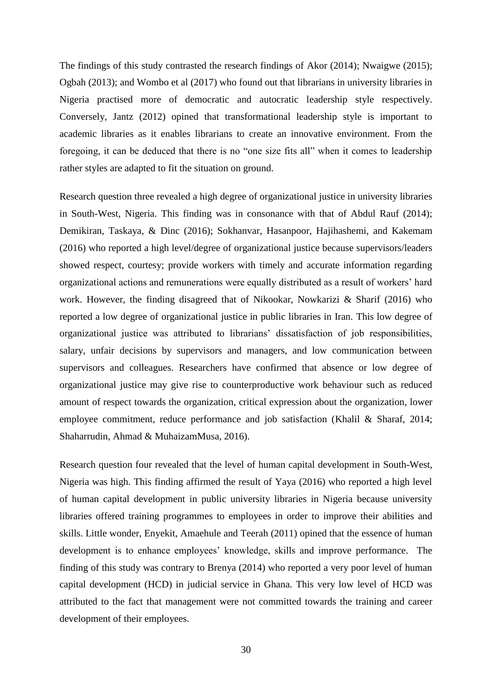The findings of this study contrasted the research findings of Akor (2014); Nwaigwe (2015); Ogbah (2013); and Wombo et al (2017) who found out that librarians in university libraries in Nigeria practised more of democratic and autocratic leadership style respectively. Conversely, Jantz (2012) opined that transformational leadership style is important to academic libraries as it enables librarians to create an innovative environment. From the foregoing, it can be deduced that there is no "one size fits all" when it comes to leadership rather styles are adapted to fit the situation on ground.

Research question three revealed a high degree of organizational justice in university libraries in South-West, Nigeria. This finding was in consonance with that of Abdul Rauf (2014); Demikiran, Taskaya, & Dinc (2016); Sokhanvar, Hasanpoor, Hajihashemi, and Kakemam (2016) who reported a high level/degree of organizational justice because supervisors/leaders showed respect, courtesy; provide workers with timely and accurate information regarding organizational actions and remunerations were equally distributed as a result of workers' hard work. However, the finding disagreed that of Nikookar, Nowkarizi & Sharif (2016) who reported a low degree of organizational justice in public libraries in Iran. This low degree of organizational justice was attributed to librarians' dissatisfaction of job responsibilities, salary, unfair decisions by supervisors and managers, and low communication between supervisors and colleagues. Researchers have confirmed that absence or low degree of organizational justice may give rise to counterproductive work behaviour such as reduced amount of respect towards the organization, critical expression about the organization, lower employee commitment, reduce performance and job satisfaction (Khalil & Sharaf, 2014; Shaharrudin, Ahmad & MuhaizamMusa, 2016).

Research question four revealed that the level of human capital development in South-West, Nigeria was high. This finding affirmed the result of Yaya (2016) who reported a high level of human capital development in public university libraries in Nigeria because university libraries offered training programmes to employees in order to improve their abilities and skills. Little wonder, Enyekit, Amaehule and Teerah (2011) opined that the essence of human development is to enhance employees' knowledge, skills and improve performance. The finding of this study was contrary to Brenya (2014) who reported a very poor level of human capital development (HCD) in judicial service in Ghana. This very low level of HCD was attributed to the fact that management were not committed towards the training and career development of their employees.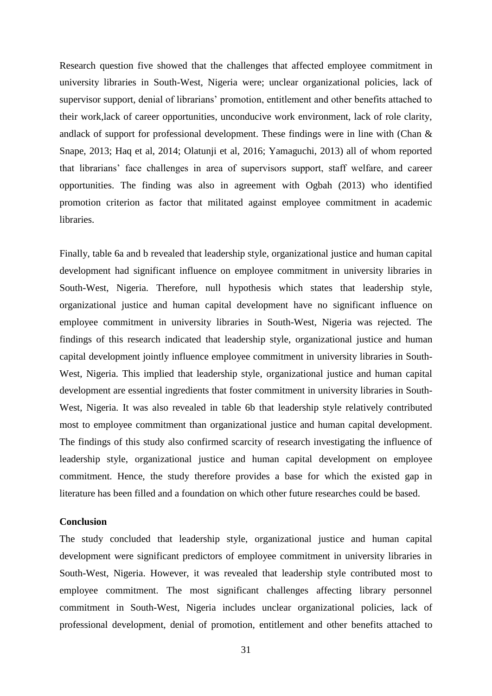Research question five showed that the challenges that affected employee commitment in university libraries in South-West, Nigeria were; unclear organizational policies, lack of supervisor support, denial of librarians' promotion, entitlement and other benefits attached to their work,lack of career opportunities, unconducive work environment, lack of role clarity, andlack of support for professional development. These findings were in line with (Chan & Snape, 2013; Haq et al, 2014; Olatunji et al, 2016; Yamaguchi, 2013) all of whom reported that librarians' face challenges in area of supervisors support, staff welfare, and career opportunities. The finding was also in agreement with Ogbah (2013) who identified promotion criterion as factor that militated against employee commitment in academic libraries.

Finally, table 6a and b revealed that leadership style, organizational justice and human capital development had significant influence on employee commitment in university libraries in South-West, Nigeria. Therefore, null hypothesis which states that leadership style, organizational justice and human capital development have no significant influence on employee commitment in university libraries in South-West, Nigeria was rejected. The findings of this research indicated that leadership style, organizational justice and human capital development jointly influence employee commitment in university libraries in South-West, Nigeria. This implied that leadership style, organizational justice and human capital development are essential ingredients that foster commitment in university libraries in South-West, Nigeria. It was also revealed in table 6b that leadership style relatively contributed most to employee commitment than organizational justice and human capital development. The findings of this study also confirmed scarcity of research investigating the influence of leadership style, organizational justice and human capital development on employee commitment. Hence, the study therefore provides a base for which the existed gap in literature has been filled and a foundation on which other future researches could be based.

## **Conclusion**

The study concluded that leadership style, organizational justice and human capital development were significant predictors of employee commitment in university libraries in South-West, Nigeria. However, it was revealed that leadership style contributed most to employee commitment. The most significant challenges affecting library personnel commitment in South-West, Nigeria includes unclear organizational policies, lack of professional development, denial of promotion, entitlement and other benefits attached to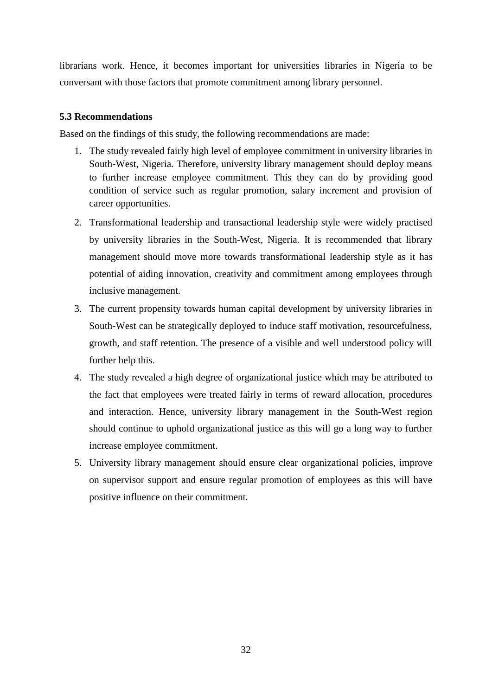librarians work. Hence, it becomes important for universities libraries in Nigeria to be conversant with those factors that promote commitment among library personnel.

## **5.3 Recommendations**

Based on the findings of this study, the following recommendations are made:

- 1. The study revealed fairly high level of employee commitment in university libraries in South-West, Nigeria. Therefore, university library management should deploy means to further increase employee commitment. This they can do by providing good condition of service such as regular promotion, salary increment and provision of career opportunities.
- 2. Transformational leadership and transactional leadership style were widely practised by university libraries in the South-West, Nigeria. It is recommended that library management should move more towards transformational leadership style as it has potential of aiding innovation, creativity and commitment among employees through inclusive management.
- 3. The current propensity towards human capital development by university libraries in South-West can be strategically deployed to induce staff motivation, resourcefulness, growth, and staff retention. The presence of a visible and well understood policy will further help this.
- 4. The study revealed a high degree of organizational justice which may be attributed to the fact that employees were treated fairly in terms of reward allocation, procedures and interaction. Hence, university library management in the South-West region should continue to uphold organizational justice as this will go a long way to further increase employee commitment.
- 5. University library management should ensure clear organizational policies, improve on supervisor support and ensure regular promotion of employees as this will have positive influence on their commitment.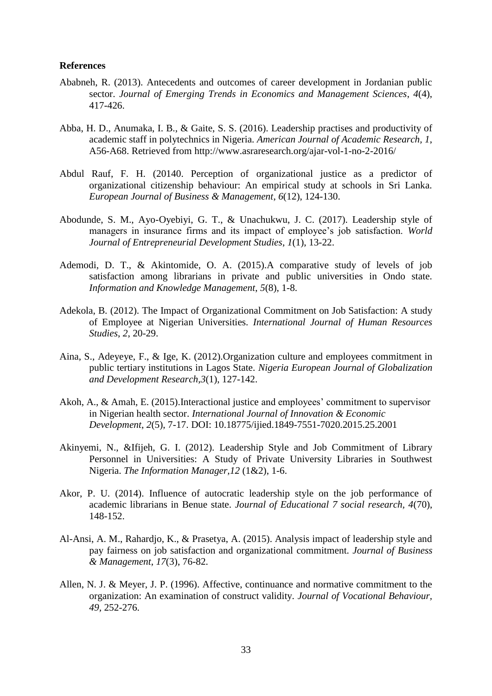## **References**

- Ababneh, R. (2013). Antecedents and outcomes of career development in Jordanian public sector. *Journal of Emerging Trends in Economics and Management Sciences*, *4*(4), 417-426.
- Abba, H. D., Anumaka, I. B., & Gaite, S. S. (2016). Leadership practises and productivity of academic staff in polytechnics in Nigeria. *American Journal of Academic Research, 1*, A56-A68. Retrieved from<http://www.asraresearch.org/ajar-vol-1-no-2-2016/>
- Abdul Rauf, F. H. (20140. Perception of organizational justice as a predictor of organizational citizenship behaviour: An empirical study at schools in Sri Lanka. *European Journal of Business & Management*, *6*(12), 124-130.
- Abodunde, S. M., Ayo-Oyebiyi, G. T., & Unachukwu, J. C. (2017). Leadership style of managers in insurance firms and its impact of employee's job satisfaction. *World Journal of Entrepreneurial Development Studies*, *1*(1), 13-22.
- Ademodi, D. T., & Akintomide, O. A. (2015).A comparative study of levels of job satisfaction among librarians in private and public universities in Ondo state. *Information and Knowledge Management*, *5*(8), 1-8.
- Adekola, B. (2012). The Impact of Organizational [Commitment on Job Satisfaction: A study](https://doi.org/10.5296/ijhrs.v2i)  of Employee at Nigerian Universities. *[International Journal of Human Resources](https://doi.org/10.5296/ijhrs.v2i)  Studies*, *2*[, 20-29.](https://doi.org/10.5296/ijhrs.v2i)
- Aina, S., Adeyeye, F., & Ige, K. (2012).Organization culture and employees commitment in public tertiary institutions in Lagos State. *Nigeria European Journal of Globalization and Development Research*,*3*(1), 127-142.
- Akoh, A., & Amah, E. (2015).Interactional justice and employees' commitment to supervisor in Nigerian health sector. *International Journal of Innovation & Economic Development*, *2*(5), 7-17. DOI: 10.18775/ijied.1849-7551-7020.2015.25.2001
- Akinyemi, N., &Ifijeh, G. I. (2012). Leadership Style and Job Commitment of Library Personnel in Universities: A Study of Private University Libraries in Southwest Nigeria. *The Information Manager,12* (1&2), 1-6.
- Akor, P. U. (2014). Influence of autocratic leadership style on the job performance of academic librarians in Benue state. *Journal of Educational 7 social research, 4*(70), 148-152.
- Al-Ansi, A. M., Rahardjo, K., & Prasetya, A. (2015). Analysis impact of leadership style and pay fairness on job satisfaction and organizational commitment. *Journal of Business & Management*, *17*(3), 76-82.
- Allen, N. J. & Meyer, J. P. (1996). Affective, continuance and normative commitment to the organization: An examination of construct validity. *Journal of Vocational Behaviour, 49,* 252-276.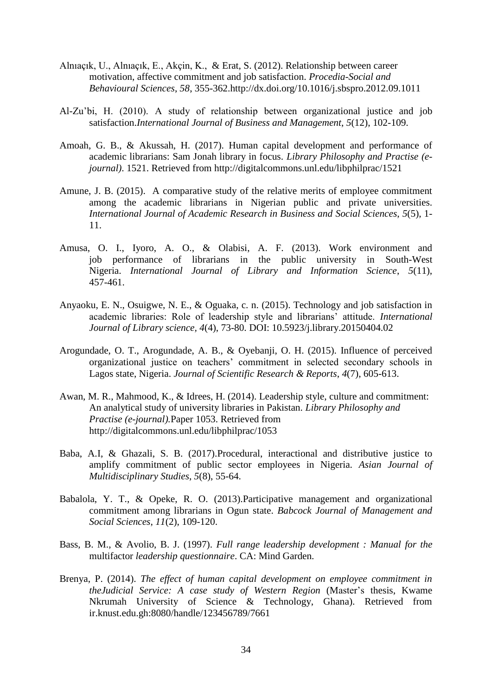- Alnıaçık, U., Alnıaçık, E., Akçin, K., & Erat, S. (2012). Relationship between career motivation, affective commitment and job satisfaction. *Procedia-Social and Behavioural Sciences*, *58*, 355-362[.http://dx.doi.org/10.1016/j.sbspro.2012.09.1011](http://dx.doi.org/10.1016/j.sbspro.2012.09.1011)
- Al-Zu'bi, H. (2010). A study of relationship between organizational justice and job satisfaction.*International Journal of Business and Management*, *5*(12), 102-109.
- Amoah, G. B., & Akussah, H. (2017). Human capital development and performance of academic librarians: Sam Jonah library in focus. *Library Philosophy and Practise (ejournal)*. 1521. Retrieved from<http://digitalcommons.unl.edu/libphilprac/1521>
- Amune, J. B. (2015). A comparative study of the relative merits of employee commitment among the academic librarians in Nigerian public and private universities. *International Journal of Academic Research in Business and Social Sciences*, *5*(5), 1- 11.
- Amusa, O. I., Iyoro, A. O., & Olabisi, A. F. (2013). Work environment and job performance of librarians in the public university in South-West Nigeria. *International Journal of Library and Information Science*, *5*(11), 457-461.
- Anyaoku, E. N., Osuigwe, N. E., & Oguaka, c. n. (2015). Technology and job satisfaction in academic libraries: Role of leadership style and librarians' attitude. *International Journal of Library science, 4*(4), 73-80. DOI: 10.5923/j.library.20150404.02
- Arogundade, O. T., Arogundade, A. B., & Oyebanji, O. H. (2015). Influence of perceived organizational justice on teachers' commitment in selected secondary schools in Lagos state, Nigeria. *Journal of Scientific Research & Reports*, *4*(7), 605-613.
- Awan, M. R., Mahmood, K., & Idrees, H. (2014). Leadership style, culture and commitment: An analytical study of university libraries in Pakistan. *Library Philosophy and Practise (e-journal).*Paper 1053. Retrieved from <http://digitalcommons.unl.edu/libphilprac/1053>
- Baba, A.I, & Ghazali, S. B. (2017).Procedural, interactional and distributive justice to amplify commitment of public sector employees in Nigeria. *Asian Journal of Multidisciplinary Studies*, *5*(8), 55-64.
- Babalola, Y. T., & Opeke, R. O. (2013).Participative management and organizational commitment among librarians in Ogun state. *Babcock Journal of Management and Social Sciences*, *11*(2), 109-120.
- Bass, B. M., & Avolio, B. J. (1997). *Full range leadership development : Manual for the*  multifactor *leadership questionnaire*. CA: Mind Garden.
- Brenya, P. (2014). *The effect of human capital development on employee commitment in theJudicial Service: A case study of Western Region* (Master's thesis, Kwame Nkrumah University of Science & Technology, Ghana). Retrieved from ir.knust.edu.gh:8080/handle/123456789/7661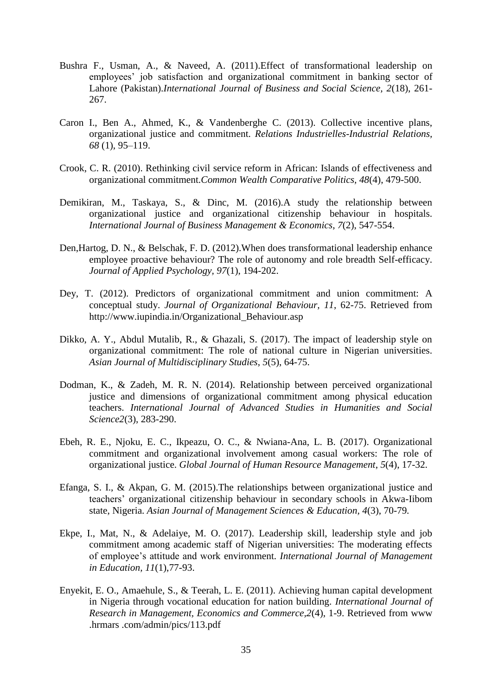- Bushra F., Usman, A., & Naveed, A. (2011).Effect of transformational leadership on employees' job satisfaction and organizational commitment in banking sector of Lahore (Pakistan).*International Journal of Business and Social Science, 2*(18), 261- 267.
- Caron I., Ben A., Ahmed, K., & Vandenberghe C. (2013). Collective incentive plans, organizational justice and commitment. *Relations Industrielles-Industrial Relations, 68* (1), 95–119.
- Crook, C. R. (2010). Rethinking civil service reform in African: Islands of effectiveness and organizational commitment.*Common Wealth Comparative Politics, 48*(4), 479-500.
- Demikiran, M., Taskaya, S., & Dinc, M. (2016).A study the relationship between organizational justice and organizational citizenship behaviour in hospitals. *International Journal of Business Management & Economics*, *7*(2), 547-554.
- Den,Hartog*,* D. N., & Belschak, F. D. (2012).When does transformational leadership enhance employee proactive behaviour? The role of autonomy and role breadth Self-efficacy. *Journal of Applied Psychology, 97*(1), 194-202.
- Dey, T. (2012). Predictors of organizational commitment and union commitment: A conceptual study. *Journal of Organizational Behaviour, 11*, 62-75. Retrieved from [http://www.iupindia.in/Organizational\\_Behaviour.asp](http://www.iupindia.in/Organizational_Behavior.asp)
- Dikko, A. Y., Abdul Mutalib, R., & Ghazali, S. (2017). The impact of leadership style on organizational commitment: The role of national culture in Nigerian universities. *Asian Journal of Multidisciplinary Studies*, *5*(5), 64-75.
- Dodman, K., & Zadeh, M. R. N. (2014). Relationship between perceived organizational justice and dimensions of organizational commitment among physical education teachers. *International Journal of Advanced Studies in Humanities and Social Science2*(3), 283-290.
- Ebeh, R. E., Njoku, E. C., Ikpeazu, O. C., & Nwiana-Ana, L. B. (2017). Organizational commitment and organizational involvement among casual workers: The role of organizational justice. *Global Journal of Human Resource Management*, *5*(4), 17-32.
- Efanga, S. I., & Akpan, G. M. (2015).The relationships between organizational justice and teachers' organizational citizenship behaviour in secondary schools in Akwa-Iibom state, Nigeria. *Asian Journal of Management Sciences & Education, 4*(3), 70-79*.*
- Ekpe, I., Mat, N., & Adelaiye, M. O. (2017). Leadership skill, leadership style and job commitment among academic staff of Nigerian universities: The moderating effects of employee's attitude and work environment. *International Journal of Management in Education, 11*(1),77-93.
- Enyekit, E. O., Amaehule, S., & Teerah, L. E. (2011). Achieving human capital development in Nigeria through vocational education for nation building. *International Journal of Research in Management, Economics and Commerce,2*(4), 1-9. Retrieved from [www](http://www.hrmars.com/admin/pics/113.pdf)  [.hrmars .com/admin/pics/113.pdf](http://www.hrmars.com/admin/pics/113.pdf)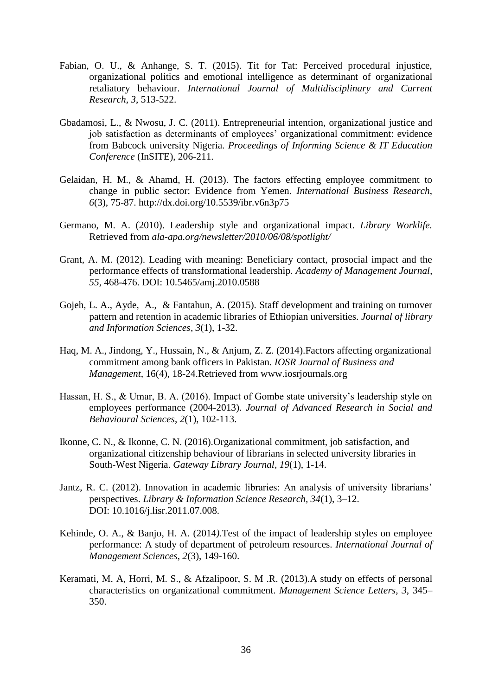- Fabian, O. U., & Anhange, S. T. (2015). Tit for Tat: Perceived procedural injustice, organizational politics and emotional intelligence as determinant of organizational retaliatory behaviour. *International Journal of Multidisciplinary and Current Research*, *3*, 513-522.
- Gbadamosi, L., & Nwosu, J. C. (2011). Entrepreneurial intention, organizational justice and job satisfaction as determinants of employees' organizational commitment: evidence from Babcock university Nigeria. *Proceedings of Informing Science & IT Education Conference* (InSITE), 206-211.
- Gelaidan, H. M., & Ahamd, H. (2013). The factors effecting employee commitment to change in public sector: Evidence from Yemen. *International Business Research*, *6*(3), 75-87.<http://dx.doi.org/10.5539/ibr.v6n3p75>
- Germano, M. A. (2010). Leadership style and organizational impact. *Library Worklife.* Retrieved from *ala-apa.org/newsletter/2010/06/08/spotlight/*
- Grant, A. M. (2012). Leading with meaning: Beneficiary contact, prosocial impact and the performance effects of transformational leadership. *Academy of Management Journal*, *55*, 468-476. DOI: 10.5465/amj.2010.0588
- Gojeh, L. A., Ayde, A., & Fantahun, A. (2015). Staff development and training on turnover pattern and retention in academic libraries of Ethiopian universities. *Journal of library and Information Sciences*, *3*(1), 1-32.
- Haq, M. A., Jindong, Y., Hussain, N., & Anjum, Z. Z. (2014).Factors affecting organizational commitment among bank officers in Pakistan. *IOSR Journal of Business and Management*, 16(4), 18-24.Retrieved from [www.iosrjournals.org](http://www.iosrjournals.org/)
- Hassan, H. S., & Umar, B. A. (2016). Impact of Gombe state university's leadership style on employees performance (2004-2013). *Journal of Advanced Research in Social and Behavioural Sciences*, *2*(1), 102-113.
- Ikonne, C. N., & Ikonne, C. N. (2016).Organizational commitment, job satisfaction, and organizational citizenship behaviour of librarians in selected university libraries in South-West Nigeria. *Gateway Library Journal*, *19*(1), 1-14.
- Jantz, R. C. (2012). Innovation in academic libraries: An analysis of university librarians' perspectives. *Library & Information Science Research, 34*(1), 3–12. DOI: 10.1016/j.lisr.2011.07.008.
- Kehinde, O. A., & Banjo, H. A. (2014*).*Test of the impact of leadership styles on employee performance: A study of department of petroleum resources. *International Journal of Management Sciences*, *2*(3), 149-160.
- Keramati, M. A, Horri, M. S., & Afzalipoor, S. M .R. (2013).A study on effects of personal characteristics on organizational commitment. *Management Science Letters*, *3*, 345– 350.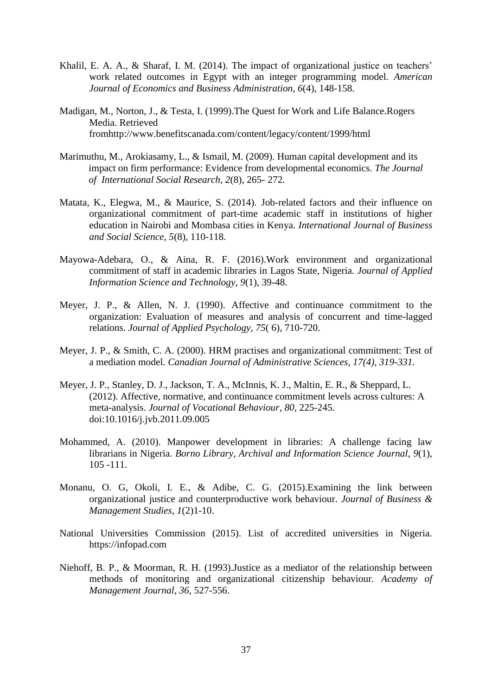- Khalil, E. A. A., & Sharaf, I. M. (2014). The impact of organizational justice on teachers' work related outcomes in Egypt with an integer programming model. *American Journal of Economics and Business Administration*, *6*(4), 148-158.
- Madigan, M., Norton, J., & Testa, I. (1999).The Quest for Work and Life Balance.Rogers Media. Retrieved fro[mhttp://www.benefitscanada.com/content/legacy/content/1999/html](http://www.benefitscanada.com/content/legacy/content/1999/html)
- Marimuthu, M., Arokiasamy, L., & Ismail, M. (2009). Human capital development and its impact on firm performance: Evidence from developmental economics. *The Journal of International Social Research*, *2*(8), 265- 272.
- Matata, K., Elegwa, M., & Maurice, S. (2014). Job-related factors and their influence on organizational commitment of part-time academic staff in institutions of higher education in Nairobi and Mombasa cities in Kenya. *International Journal of Business and Social Science, 5*(8), 110-118.
- Mayowa-Adebara, O., & Aina, R. F. (2016).Work environment and organizational commitment of staff in academic libraries in Lagos State, Nigeria. *Journal of Applied Information Science and Technology*, *9*(1), 39-48.
- Meyer, J. P., & Allen, N. J. (1990). Affective and continuance commitment to the organization: Evaluation of measures and analysis of concurrent and time-lagged relations. *Journal of Applied Psychology, 75*( 6), 710-720.
- Meyer, J. P., & Smith, C. A. (2000). HRM practises and organizational commitment: Test of a mediation model*. Canadian Journal of Administrative Sciences, 17(4), 319-331.*
- Meyer, J. P., Stanley, D. J., Jackson, T. A., McInnis, K. J., Maltin, E. R., & Sheppard, L. (2012). Affective, normative, and continuance commitment levels across cultures: A meta-analysis. *Journal of Vocational Behaviour*, *80*, 225-245. doi:10.1016/j.jvb.2011.09.005
- Mohammed, A. (2010). Manpower development in libraries: A challenge facing law librarians in Nigeria. *Borno Library, Archival and Information Science Journal*, *9*(1), 105 -111.
- Monanu, O. G, Okoli, I. E., & Adibe, C. G. (2015).Examining the link between organizational justice and counterproductive work behaviour. *Journal of Business & Management Studies*, *1*(2)1-10.
- National Universities Commission (2015). List of accredited universities in Nigeria. https://infopad.com
- Niehoff, B. P., & Moorman, R. H. (1993).Justice as a mediator of the relationship between methods of monitoring and organizational citizenship behaviour. *Academy of Management Journal, 36,* 527-556.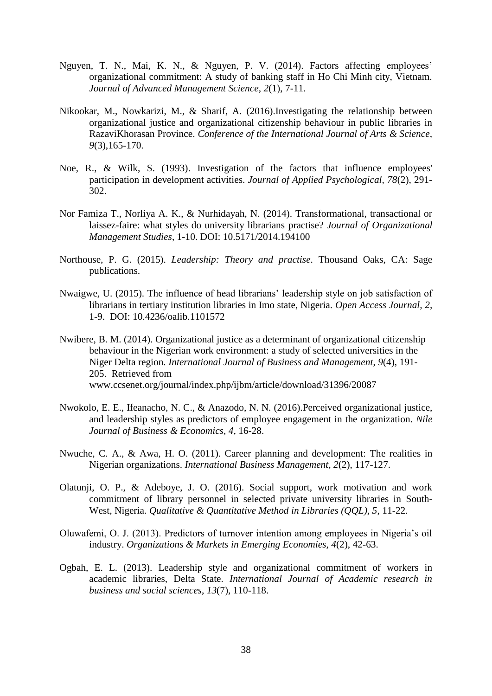- Nguyen, T. N., Mai, K. N., & Nguyen, P. V. (2014). Factors affecting employees' organizational commitment: A study of banking staff in Ho Chi Minh city, Vietnam. *Journal of Advanced Management Science*, *2*(1), 7-11.
- Nikookar, M., Nowkarizi, M., & Sharif, A. (2016).Investigating the relationship between organizational justice and organizational citizenship behaviour in public libraries in RazaviKhorasan Province. *Conference of the International Journal of Arts & Science, 9*(3),165-170.
- Noe, R., & Wilk, S. (1993). Investigation of the factors that influence employees' participation in development activities. *Journal of Applied Psychological, 78*(2), 291- 302.
- Nor Famiza T., Norliya A. K., & Nurhidayah, N. (2014). Transformational, transactional or laissez-faire: what styles do university librarians practise? *Journal of Organizational Management Studies*, 1-10. DOI: 10.5171/2014.194100
- Northouse, P. G. (2015). *Leadership: Theory and practise*. Thousand Oaks, CA: Sage publications.
- Nwaigwe, U. (2015). The influence of head librarians' leadership style on job satisfaction of librarians in tertiary institution libraries in Imo state, Nigeria. *Open Access Journal, 2,*  1-9. DOI: [10.4236/oalib.1101572](http://dx.doi.org/10.4236/oalib.1101572)
- Nwibere, B. M. (2014). Organizational justice as a determinant of organizational citizenship behaviour in the Nigerian work environment: a study of selected universities in the Niger Delta region. *International Journal of Business and Management*, *9*(4), 191- 205. Retrieved from [www.ccsenet.org/journal/index.php/ijbm/article/download/31396/20087](http://www.ccsenet.org/journal/index.php/ijbm/article/download/31396/20087)
- Nwokolo, E. E., Ifeanacho, N. C., & Anazodo, N. N. (2016).Perceived organizational justice, and leadership styles as predictors of employee engagement in the organization. *Nile Journal of Business & Economics*, *4*, 16-28.
- Nwuche, C. A., & Awa, H. O. (2011). Career planning and development: The realities in Nigerian organizations. *International Business Management, 2*(2), 117-127.
- Olatunji, O. P., & Adeboye, J. O. (2016). Social support, work motivation and work commitment of library personnel in selected private university libraries in South-West, Nigeria. *Qualitative & Quantitative Method in Libraries (OOL), 5, 11-22.*
- Oluwafemi, O. J. (2013). Predictors of turnover intention among employees in Nigeria's oil industry. *Organizations & Markets in Emerging Economies, 4*(2), 42-63.
- Ogbah, E. L. (2013). Leadership style and organizational commitment of workers in academic libraries, Delta State. *International Journal of Academic research in business and social sciences*, *13*(7), 110-118.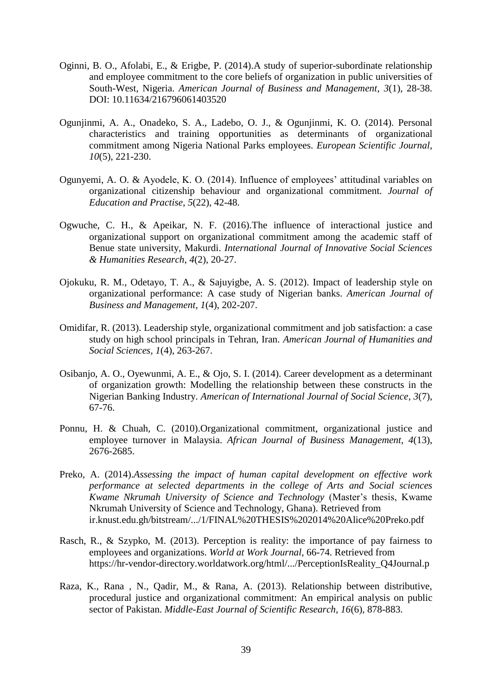- Oginni, B. O., Afolabi, E., & Erigbe, P. (2014).A study of superior-subordinate relationship and employee commitment to the core beliefs of organization in public universities of South-West, Nigeria. *American Journal of Business and Management*, *3*(1), 28-38. DOI: 10.11634/216796061403520
- Ogunjinmi, A. A., Onadeko, S. A., Ladebo, O. J., & Ogunjinmi, K. O. (2014). Personal characteristics and training opportunities as determinants of organizational commitment among Nigeria National Parks employees. *European Scientific Journal, 10*(5), 221-230.
- Ogunyemi, A. O. & Ayodele, K. O. (2014). Influence of employees' attitudinal variables on organizational citizenship behaviour and organizational commitment. *Journal of Education and Practise*, *5*(22), 42-48.
- Ogwuche, C. H., & Apeikar, N. F. (2016).The influence of interactional justice and organizational support on organizational commitment among the academic staff of Benue state university, Makurdi. *International Journal of Innovative Social Sciences & Humanities Research*, *4*(2), 20-27.
- Ojokuku, R. M., Odetayo, T. A., & Sajuyigbe, A. S. (2012). Impact of leadership style on organizational performance: A case study of Nigerian banks. *American Journal of Business and Management, 1*(4), 202-207.
- Omidifar, R. (2013). Leadership style, organizational commitment and job satisfaction: a case study on high school principals in Tehran, Iran. *American Journal of Humanities and Social Sciences, 1*(4), 263-267.
- Osibanjo, A. O., Oyewunmi, A. E., & Ojo, S. I. (2014). Career development as a determinant of organization growth: Modelling the relationship between these constructs in the Nigerian Banking Industry. *American of International Journal of Social Science*, *3*(7), 67-76.
- Ponnu, H. & Chuah, C. (2010).Organizational commitment, organizational justice and employee turnover in Malaysia. *African Journal of Business Management, 4*(13), 2676-2685.
- Preko, A. (2014).*Assessing the impact of human capital development on effective work performance at selected departments in the college of Arts and Social sciences Kwame Nkrumah University of Science and Technology* (Master's thesis, Kwame Nkrumah University of Science and Technology, Ghana). Retrieved from ir.knust.edu.gh/bitstream/.../1/FINAL%20THESIS%202014%20Alice%20Preko.pdf
- Rasch, R., & Szypko, M. (2013). Perception is reality: the importance of pay fairness to employees and organizations. *World at Work Journal*, 66-74. Retrieved from [https://hr-vendor-directory.worldatwork.org/html/.../PerceptionIsReality\\_Q4Journal.p](https://hr-vendor-directory.worldatwork.org/html/.../PerceptionIsReality_Q4Journal.p)
- Raza, K., Rana , N., Qadir, M., & Rana, A. (2013). Relationship between distributive, procedural justice and organizational commitment: An empirical analysis on public sector of Pakistan. *Middle-East Journal of Scientific Research, 16*(6), 878-883.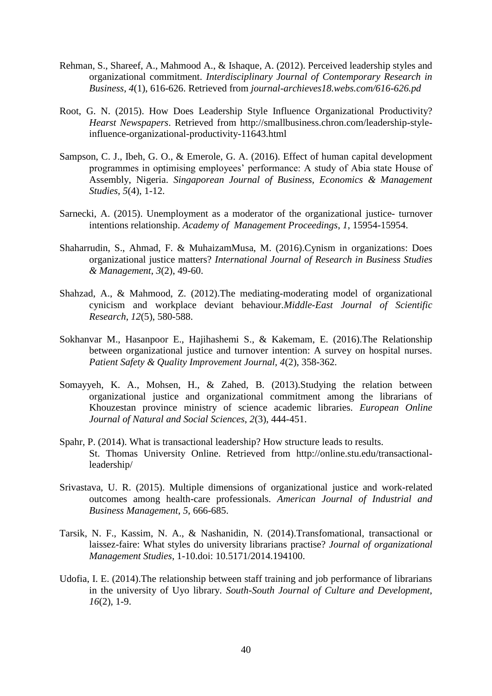- Rehman, S., Shareef, A., Mahmood A., & Ishaque, A. (2012). Perceived leadership styles and organizational commitment. *Interdisciplinary Journal of Contemporary Research in Business*, *4*(1), 616-626. Retrieved from *journal-archieves18.webs.com/616-626.pd*
- Root, G. N. (2015). How Does Leadership Style Influence Organizational Productivity? *Hearst Newspapers*. Retrieved from [http://smallbusiness.chron.com/leadership-style](http://smallbusiness.chron.com/leadership-style-influence-organisational-productivity-11643.html)[influence-organizational-productivity-11643.html](http://smallbusiness.chron.com/leadership-style-influence-organisational-productivity-11643.html)
- Sampson, C. J., Ibeh, G. O., & Emerole, G. A. (2016). Effect of human capital development programmes in optimising employees' performance: A study of Abia state House of Assembly, Nigeria. *Singaporean Journal of Business, Economics & Management Studies*, *5*(4), 1-12.
- Sarnecki, A. (2015). Unemployment as a moderator of the organizational justice- turnover intentions relationship. *Academy of Management Proceedings*, *1*, 15954-15954.
- Shaharrudin, S., Ahmad, F. & MuhaizamMusa, M. (2016).Cynism in organizations: Does organizational justice matters? *International Journal of Research in Business Studies & Management*, *3*(2), 49-60.
- Shahzad, A., & Mahmood, Z. (2012).The mediating-moderating model of organizational cynicism and workplace deviant behaviour.*Middle-East Journal of Scientific Research*, *12*(5), 580-588.
- Sokhanvar M., Hasanpoor E., Hajihashemi S., & Kakemam, E. (2016).The Relationship between organizational justice and turnover intention: A survey on hospital nurses. *Patient Safety & Quality Improvement Journal, 4*(2), 358-362.
- Somayyeh, K. A., Mohsen, H., & Zahed, B. (2013).Studying the relation between organizational justice and organizational commitment among the librarians of Khouzestan province ministry of science academic libraries. *European Online Journal of Natural and Social Sciences*, *2*(3), 444-451.
- Spahr, P. (2014). What is transactional leadership? How structure leads to results. St. Thomas University Online. Retrieved from [http://online.stu.edu/transactional](http://online.stu.edu/transactional-leadership/)[leadership/](http://online.stu.edu/transactional-leadership/)
- Srivastava, U. R. (2015). Multiple dimensions of organizational justice and work-related outcomes among health-care professionals. *American Journal of Industrial and Business Management*, *5*, 666-685.
- Tarsik, N. F., Kassim, N. A., & Nashanidin, N. (2014).Transfomational, transactional or laissez-faire: What styles do university librarians practise? *Journal of organizational Management Studies*, 1-10.doi: 10.5171/2014.194100.
- Udofia, I. E. (2014).The relationship between staff training and job performance of librarians in the university of Uyo library. *South-South Journal of Culture and Development*, *16*(2), 1-9.